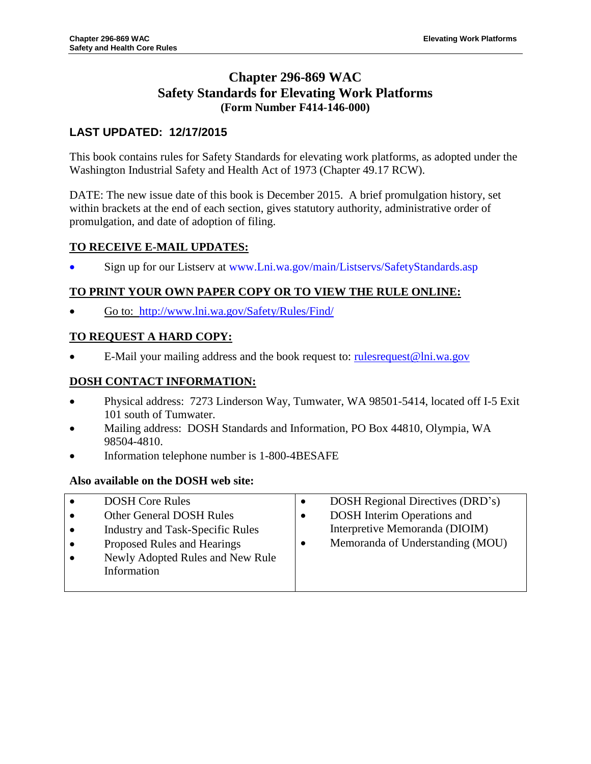## **Chapter 296-869 WAC Safety Standards for Elevating Work Platforms (Form Number F414-146-000)**

## **LAST UPDATED: 12/17/2015**

This book contains rules for Safety Standards for elevating work platforms, as adopted under the Washington Industrial Safety and Health Act of 1973 (Chapter 49.17 RCW).

DATE: The new issue date of this book is December 2015. A brief promulgation history, set within brackets at the end of each section, gives statutory authority, administrative order of promulgation, and date of adoption of filing.

## **TO RECEIVE E-MAIL UPDATES:**

Sign up for our Listserv at www.Lni.wa.gov/main/Listservs/SafetyStandards.asp

## **TO PRINT YOUR OWN PAPER COPY OR TO VIEW THE RULE ONLINE:**

Go to: <http://www.lni.wa.gov/Safety/Rules/Find/>

## **TO REQUEST A HARD COPY:**

E-Mail your mailing address and the book request to: rulesr equest  $@lin.wa.gov$ 

## **DOSH CONTACT INFORMATION:**

- Physical address: 7273 Linderson Way, Tumwater, WA 98501-5414, located off I-5 Exit 101 south of Tumwater.
- Mailing address: DOSH Standards and Information, PO Box 44810, Olympia, WA 98504-4810.
- Information telephone number is 1-800-4BESAFE

## **Also available on the DOSH web site:**

| $\bullet$ | <b>DOSH Core Rules</b>                  | $\bullet$ | DOSH Regional Directives (DRD's)   |
|-----------|-----------------------------------------|-----------|------------------------------------|
| $\bullet$ | Other General DOSH Rules                | ٠         | <b>DOSH</b> Interim Operations and |
| $\bullet$ | <b>Industry and Task-Specific Rules</b> |           | Interpretive Memoranda (DIOIM)     |
| $\bullet$ | Proposed Rules and Hearings             | ٠         | Memoranda of Understanding (MOU)   |
| $\bullet$ | Newly Adopted Rules and New Rule        |           |                                    |
|           | Information                             |           |                                    |
|           |                                         |           |                                    |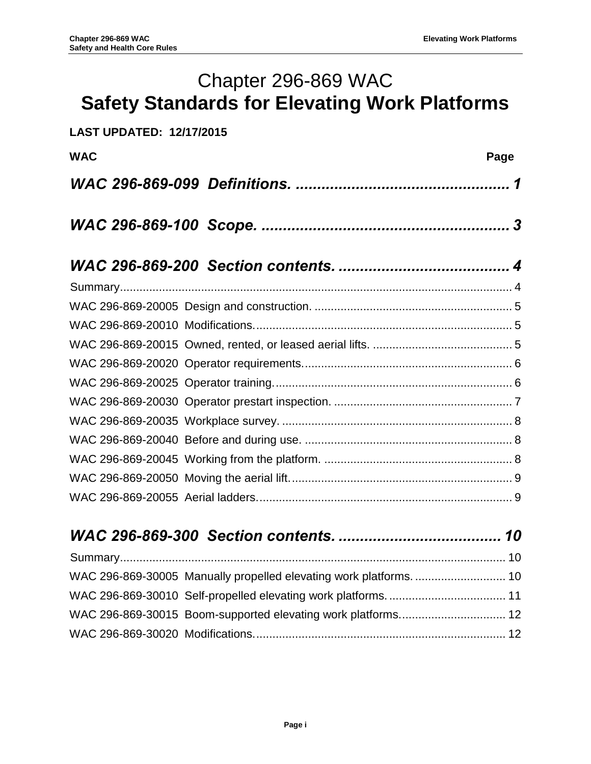# Chapter 296-869 WAC **Safety Standards for Elevating Work Platforms**

| <b>LAST UPDATED: 12/17/2015</b> |      |
|---------------------------------|------|
| <b>WAC</b>                      | Page |
|                                 |      |
|                                 |      |
|                                 |      |
|                                 |      |
|                                 |      |
|                                 |      |
|                                 |      |
|                                 |      |
|                                 |      |
|                                 |      |
|                                 |      |
|                                 |      |
|                                 |      |
|                                 |      |
|                                 |      |

| WAC 296-869-30005 Manually propelled elevating work platforms.  10 |
|--------------------------------------------------------------------|
|                                                                    |
|                                                                    |
|                                                                    |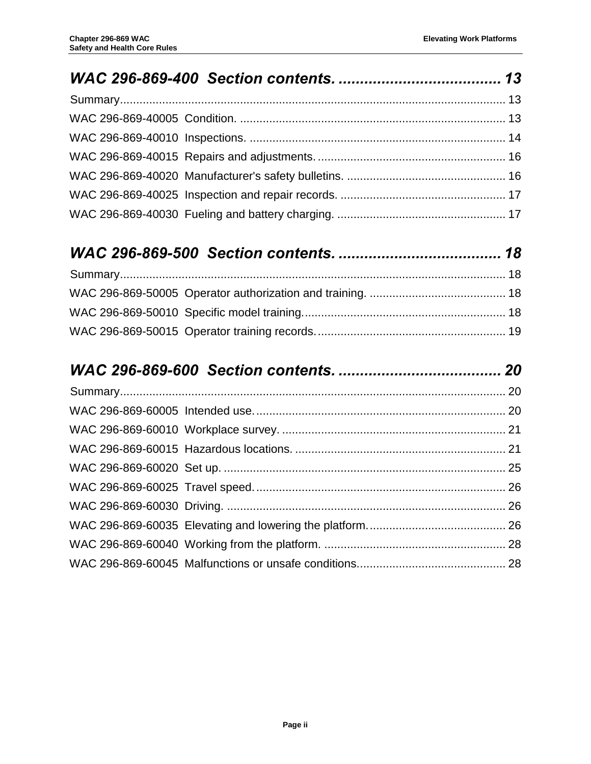## *WAC [296-869-500 Section contents.](#page-20-0) ...................................... 18*

## *WAC [296-869-600 Section contents.](#page-22-0) ...................................... 20*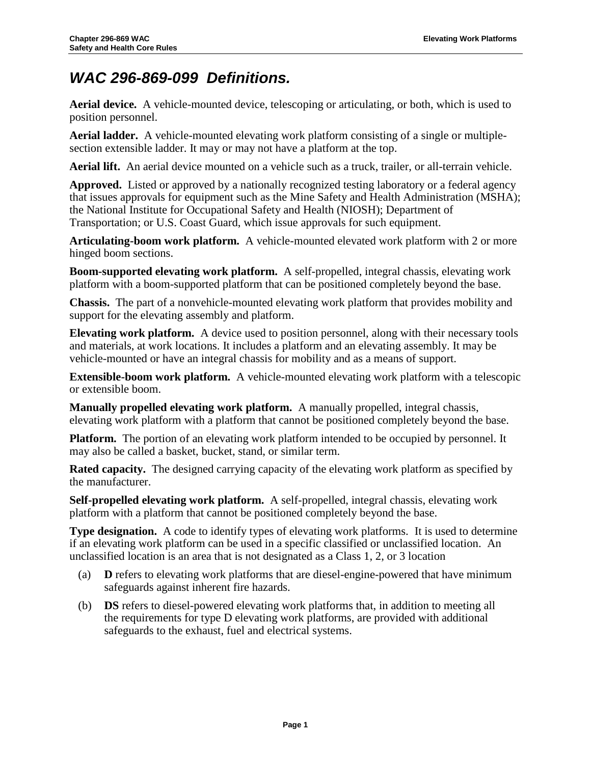## <span id="page-3-0"></span>*WAC 296-869-099 Definitions.*

**Aerial device.** A vehicle-mounted device, telescoping or articulating, or both, which is used to position personnel.

**Aerial ladder.** A vehicle-mounted elevating work platform consisting of a single or multiplesection extensible ladder. It may or may not have a platform at the top.

**Aerial lift.** An aerial device mounted on a vehicle such as a truck, trailer, or all-terrain vehicle.

**Approved.** Listed or approved by a nationally recognized testing laboratory or a federal agency that issues approvals for equipment such as the Mine Safety and Health Administration (MSHA); the National Institute for Occupational Safety and Health (NIOSH); Department of Transportation; or U.S. Coast Guard, which issue approvals for such equipment.

**Articulating-boom work platform.** A vehicle-mounted elevated work platform with 2 or more hinged boom sections.

**Boom-supported elevating work platform.** A self-propelled, integral chassis, elevating work platform with a boom-supported platform that can be positioned completely beyond the base.

**Chassis.** The part of a nonvehicle-mounted elevating work platform that provides mobility and support for the elevating assembly and platform.

**Elevating work platform.** A device used to position personnel, along with their necessary tools and materials, at work locations. It includes a platform and an elevating assembly. It may be vehicle-mounted or have an integral chassis for mobility and as a means of support.

**Extensible-boom work platform.** A vehicle-mounted elevating work platform with a telescopic or extensible boom.

**Manually propelled elevating work platform.** A manually propelled, integral chassis, elevating work platform with a platform that cannot be positioned completely beyond the base.

**Platform.** The portion of an elevating work platform intended to be occupied by personnel. It may also be called a basket, bucket, stand, or similar term.

**Rated capacity.** The designed carrying capacity of the elevating work platform as specified by the manufacturer.

**Self-propelled elevating work platform.** A self-propelled, integral chassis, elevating work platform with a platform that cannot be positioned completely beyond the base.

**Type designation.** A code to identify types of elevating work platforms. It is used to determine if an elevating work platform can be used in a specific classified or unclassified location. An unclassified location is an area that is not designated as a Class 1, 2, or 3 location

- (a) **D** refers to elevating work platforms that are diesel-engine-powered that have minimum safeguards against inherent fire hazards.
- (b) **DS** refers to diesel-powered elevating work platforms that, in addition to meeting all the requirements for type D elevating work platforms, are provided with additional safeguards to the exhaust, fuel and electrical systems.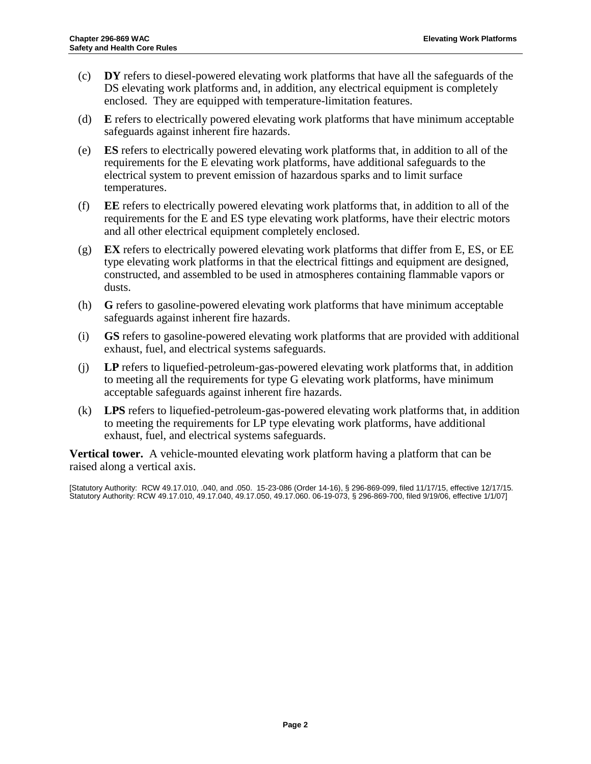- (c) **DY** refers to diesel-powered elevating work platforms that have all the safeguards of the DS elevating work platforms and, in addition, any electrical equipment is completely enclosed. They are equipped with temperature-limitation features.
- (d) **E** refers to electrically powered elevating work platforms that have minimum acceptable safeguards against inherent fire hazards.
- (e) **ES** refers to electrically powered elevating work platforms that, in addition to all of the requirements for the E elevating work platforms, have additional safeguards to the electrical system to prevent emission of hazardous sparks and to limit surface temperatures.
- (f) **EE** refers to electrically powered elevating work platforms that, in addition to all of the requirements for the E and ES type elevating work platforms, have their electric motors and all other electrical equipment completely enclosed.
- (g) **EX** refers to electrically powered elevating work platforms that differ from E, ES, or EE type elevating work platforms in that the electrical fittings and equipment are designed, constructed, and assembled to be used in atmospheres containing flammable vapors or dusts.
- (h) **G** refers to gasoline-powered elevating work platforms that have minimum acceptable safeguards against inherent fire hazards.
- (i) **GS** refers to gasoline-powered elevating work platforms that are provided with additional exhaust, fuel, and electrical systems safeguards.
- (j) **LP** refers to liquefied-petroleum-gas-powered elevating work platforms that, in addition to meeting all the requirements for type G elevating work platforms, have minimum acceptable safeguards against inherent fire hazards.
- (k) **LPS** refers to liquefied-petroleum-gas-powered elevating work platforms that, in addition to meeting the requirements for LP type elevating work platforms, have additional exhaust, fuel, and electrical systems safeguards.

**Vertical tower.** A vehicle-mounted elevating work platform having a platform that can be raised along a vertical axis.

[Statutory Authority: RCW 49.17.010, .040, and .050. 15-23-086 (Order 14-16), § 296-869-099, filed 11/17/15, effective 12/17/15. Statutory Authority: RC[W 49.17.010,](http://apps.leg.wa.gov/RCW/default.aspx?cite=49.17.010) [49.17.040,](http://apps.leg.wa.gov/RCW/default.aspx?cite=49.17.040) [49.17.050,](http://apps.leg.wa.gov/RCW/default.aspx?cite=49.17.050) [49.17.060.](http://apps.leg.wa.gov/RCW/default.aspx?cite=49.17.060) 06-19-073, § 296-869-700, filed 9/19/06, effective 1/1/07]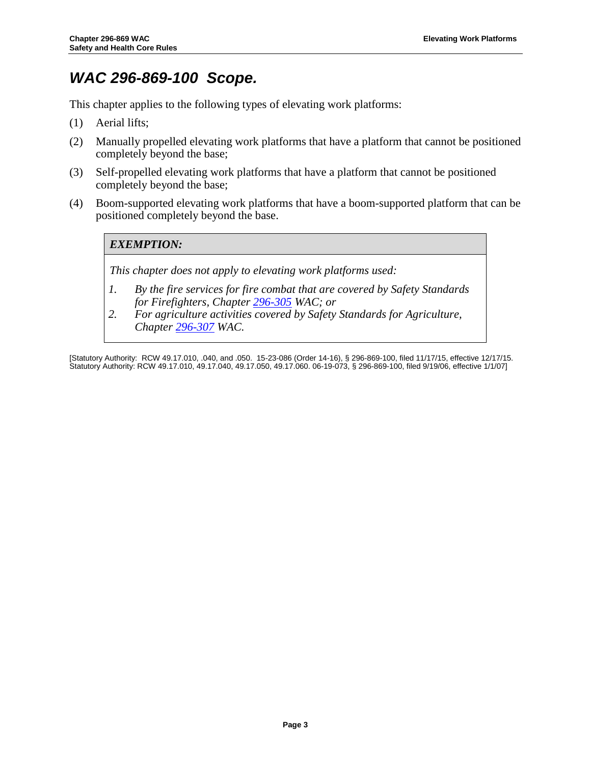## <span id="page-5-0"></span>*WAC 296-869-100 Scope.*

This chapter applies to the following types of elevating work platforms:

- (1) Aerial lifts;
- (2) Manually propelled elevating work platforms that have a platform that cannot be positioned completely beyond the base;
- (3) Self-propelled elevating work platforms that have a platform that cannot be positioned completely beyond the base;
- (4) Boom-supported elevating work platforms that have a boom-supported platform that can be positioned completely beyond the base.

## *EXEMPTION:*

*This chapter does not apply to elevating work platforms used:*

- *1. By the fire services for fire combat that are covered by Safety Standards for Firefighters, Chapter [296-305](http://www.lni.wa.gov/safety/rules/chapter/305/) WAC; or*
- *2. For agriculture activities covered by Safety Standards for Agriculture, Chapter [296-307](http://www.lni.wa.gov/safety/rules/chapter/307/) WAC.*

[Statutory Authority: RCW 49.17.010, .040, and .050. 15-23-086 (Order 14-16), § 296-869-100, filed 11/17/15, effective 12/17/15. Statutory Authority: RC[W 49.17.010,](http://apps.leg.wa.gov/RCW/default.aspx?cite=49.17.010) [49.17.040,](http://apps.leg.wa.gov/RCW/default.aspx?cite=49.17.040) [49.17.050,](http://apps.leg.wa.gov/RCW/default.aspx?cite=49.17.050) [49.17.060.](http://apps.leg.wa.gov/RCW/default.aspx?cite=49.17.060) 06-19-073, § 296-869-100, filed 9/19/06, effective 1/1/07]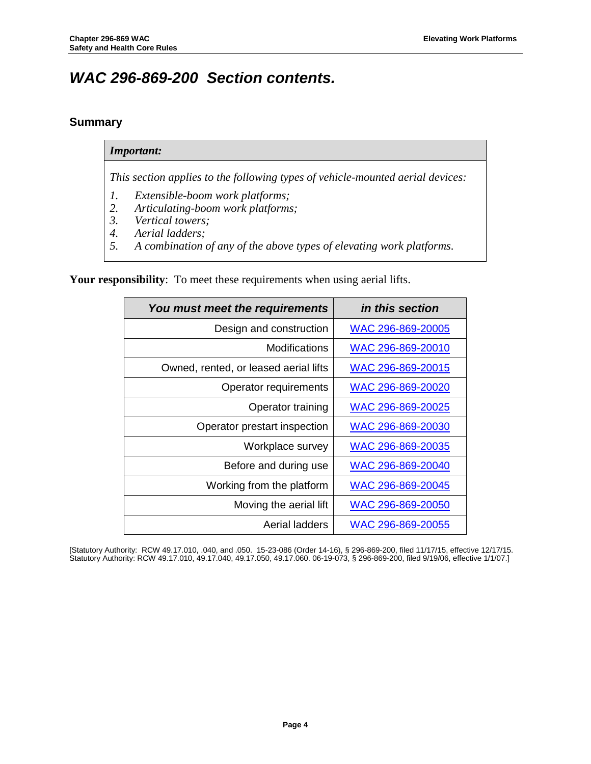## <span id="page-6-0"></span>*WAC 296-869-200 Section contents.*

## <span id="page-6-1"></span>**Summary**

#### *Important:*

*This section applies to the following types of vehicle-mounted aerial devices:*

- *1. Extensible-boom work platforms;*
- *2. Articulating-boom work platforms;*
- *3. Vertical towers;*
- *4. Aerial ladders;*
- *5. A combination of any of the above types of elevating work platforms.*

**Your responsibility**: To meet these requirements when using aerial lifts.

| You must meet the requirements        | in this section   |
|---------------------------------------|-------------------|
| Design and construction               | WAC 296-869-20005 |
| Modifications                         | WAC 296-869-20010 |
| Owned, rented, or leased aerial lifts | WAC 296-869-20015 |
| Operator requirements                 | WAC 296-869-20020 |
| Operator training                     | WAC 296-869-20025 |
| Operator prestart inspection          | WAC 296-869-20030 |
| Workplace survey                      | WAC 296-869-20035 |
| Before and during use                 | WAC 296-869-20040 |
| Working from the platform             | WAC 296-869-20045 |
| Moving the aerial lift                | WAC 296-869-20050 |
| Aerial ladders                        | WAC 296-869-20055 |

<span id="page-6-2"></span>[Statutory Authority: RCW 49.17.010, .040, and .050. 15-23-086 (Order 14-16), § 296-869-200, filed 11/17/15, effective 12/17/15. Statutory Authority: RC[W 49.17.010,](http://apps.leg.wa.gov/RCW/default.aspx?cite=49.17.010) [49.17.040,](http://apps.leg.wa.gov/RCW/default.aspx?cite=49.17.040) [49.17.050,](http://apps.leg.wa.gov/RCW/default.aspx?cite=49.17.050) [49.17.060.](http://apps.leg.wa.gov/RCW/default.aspx?cite=49.17.060) 06-19-073, § 296-869-200, filed 9/19/06, effective 1/1/07.]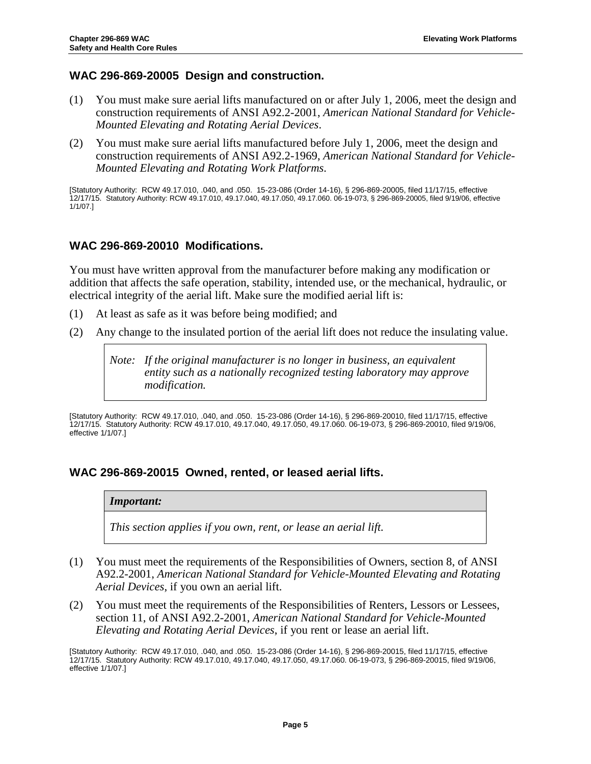## <span id="page-7-0"></span>**WAC 296-869-20005 Design and construction.**

- (1) You must make sure aerial lifts manufactured on or after July 1, 2006, meet the design and construction requirements of ANSI A92.2-2001, *American National Standard for Vehicle-Mounted Elevating and Rotating Aerial Devices*.
- (2) You must make sure aerial lifts manufactured before July 1, 2006, meet the design and construction requirements of ANSI A92.2-1969, *American National Standard for Vehicle-Mounted Elevating and Rotating Work Platforms.*

[Statutory Authority: RCW 49.17.010, .040, and .050. 15-23-086 (Order 14-16), § 296-869-20005, filed 11/17/15, effective 12/17/15. Statutory Authority: RC[W 49.17.010,](http://apps.leg.wa.gov/RCW/default.aspx?cite=49.17.010) [49.17.040,](http://apps.leg.wa.gov/RCW/default.aspx?cite=49.17.040) [49.17.050,](http://apps.leg.wa.gov/RCW/default.aspx?cite=49.17.050) [49.17.060.](http://apps.leg.wa.gov/RCW/default.aspx?cite=49.17.060) 06-19-073, § 296-869-20005, filed 9/19/06, effective 1/1/07.]

## <span id="page-7-1"></span>**WAC 296-869-20010 Modifications.**

You must have written approval from the manufacturer before making any modification or addition that affects the safe operation, stability, intended use, or the mechanical, hydraulic, or electrical integrity of the aerial lift. Make sure the modified aerial lift is:

- (1) At least as safe as it was before being modified; and
- (2) Any change to the insulated portion of the aerial lift does not reduce the insulating value.

*Note: If the original manufacturer is no longer in business, an equivalent entity such as a nationally recognized testing laboratory may approve modification.*

[Statutory Authority: RCW 49.17.010, .040, and .050. 15-23-086 (Order 14-16), § 296-869-20010, filed 11/17/15, effective 12/17/15. Statutory Authority: RC[W 49.17.010,](http://apps.leg.wa.gov/RCW/default.aspx?cite=49.17.010) [49.17.040,](http://apps.leg.wa.gov/RCW/default.aspx?cite=49.17.040) [49.17.050,](http://apps.leg.wa.gov/RCW/default.aspx?cite=49.17.050) [49.17.060.](http://apps.leg.wa.gov/RCW/default.aspx?cite=49.17.060) 06-19-073, § 296-869-20010, filed 9/19/06, effective 1/1/07.]

## <span id="page-7-2"></span>**WAC 296-869-20015 Owned, rented, or leased aerial lifts.**

#### *Important:*

*This section applies if you own, rent, or lease an aerial lift.*

- (1) You must meet the requirements of the Responsibilities of Owners, section 8, of ANSI A92.2-2001, *American National Standard for Vehicle-Mounted Elevating and Rotating Aerial Devices*, if you own an aerial lift.
- (2) You must meet the requirements of the Responsibilities of Renters, Lessors or Lessees, section 11, of ANSI A92.2-2001, *American National Standard for Vehicle-Mounted Elevating and Rotating Aerial Devices*, if you rent or lease an aerial lift.

[Statutory Authority: RCW 49.17.010, .040, and .050. 15-23-086 (Order 14-16), § 296-869-20015, filed 11/17/15, effective 12/17/15. Statutory Authority: RC[W 49.17.010,](http://apps.leg.wa.gov/RCW/default.aspx?cite=49.17.010) [49.17.040,](http://apps.leg.wa.gov/RCW/default.aspx?cite=49.17.040) [49.17.050,](http://apps.leg.wa.gov/RCW/default.aspx?cite=49.17.050) [49.17.060.](http://apps.leg.wa.gov/RCW/default.aspx?cite=49.17.060) 06-19-073, § 296-869-20015, filed 9/19/06, effective 1/1/07.]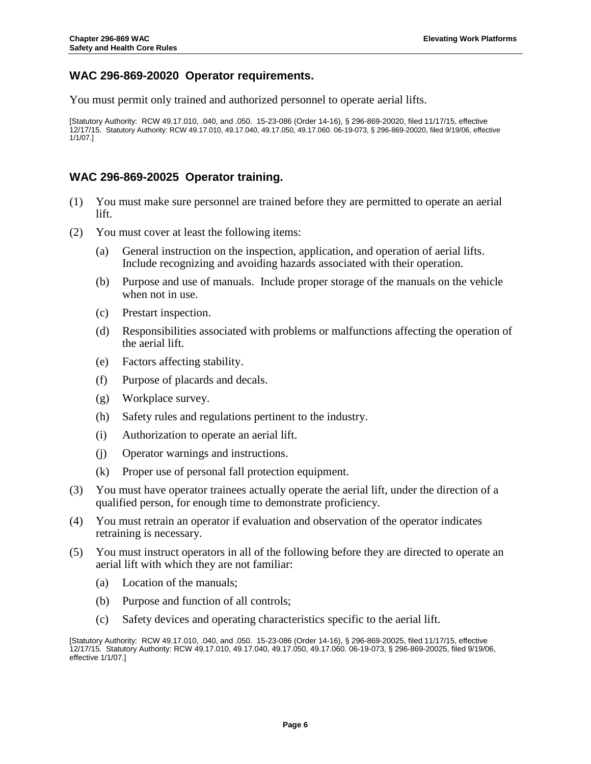## <span id="page-8-0"></span>**WAC 296-869-20020 Operator requirements.**

You must permit only trained and authorized personnel to operate aerial lifts.

[Statutory Authority: RCW 49.17.010, .040, and .050. 15-23-086 (Order 14-16), § 296-869-20020, filed 11/17/15, effective 12/17/15. Statutory Authority: RC[W 49.17.010,](http://apps.leg.wa.gov/RCW/default.aspx?cite=49.17.010) [49.17.040,](http://apps.leg.wa.gov/RCW/default.aspx?cite=49.17.040) [49.17.050,](http://apps.leg.wa.gov/RCW/default.aspx?cite=49.17.050) [49.17.060.](http://apps.leg.wa.gov/RCW/default.aspx?cite=49.17.060) 06-19-073, § 296-869-20020, filed 9/19/06, effective 1/1/07.]

## <span id="page-8-1"></span>**WAC 296-869-20025 Operator training.**

- (1) You must make sure personnel are trained before they are permitted to operate an aerial lift.
- (2) You must cover at least the following items:
	- (a) General instruction on the inspection, application, and operation of aerial lifts. Include recognizing and avoiding hazards associated with their operation.
	- (b) Purpose and use of manuals. Include proper storage of the manuals on the vehicle when not in use.
	- (c) Prestart inspection.
	- (d) Responsibilities associated with problems or malfunctions affecting the operation of the aerial lift.
	- (e) Factors affecting stability.
	- (f) Purpose of placards and decals.
	- (g) Workplace survey.
	- (h) Safety rules and regulations pertinent to the industry.
	- (i) Authorization to operate an aerial lift.
	- (j) Operator warnings and instructions.
	- (k) Proper use of personal fall protection equipment.
- (3) You must have operator trainees actually operate the aerial lift, under the direction of a qualified person, for enough time to demonstrate proficiency.
- (4) You must retrain an operator if evaluation and observation of the operator indicates retraining is necessary.
- (5) You must instruct operators in all of the following before they are directed to operate an aerial lift with which they are not familiar:
	- (a) Location of the manuals;
	- (b) Purpose and function of all controls;
	- (c) Safety devices and operating characteristics specific to the aerial lift.

<sup>[</sup>Statutory Authority: RCW 49.17.010, .040, and .050. 15-23-086 (Order 14-16), § 296-869-20025, filed 11/17/15, effective 12/17/15. Statutory Authority: RC[W 49.17.010,](http://apps.leg.wa.gov/RCW/default.aspx?cite=49.17.010) [49.17.040,](http://apps.leg.wa.gov/RCW/default.aspx?cite=49.17.040) [49.17.050,](http://apps.leg.wa.gov/RCW/default.aspx?cite=49.17.050) [49.17.060.](http://apps.leg.wa.gov/RCW/default.aspx?cite=49.17.060) 06-19-073, § 296-869-20025, filed 9/19/06, effective 1/1/07.]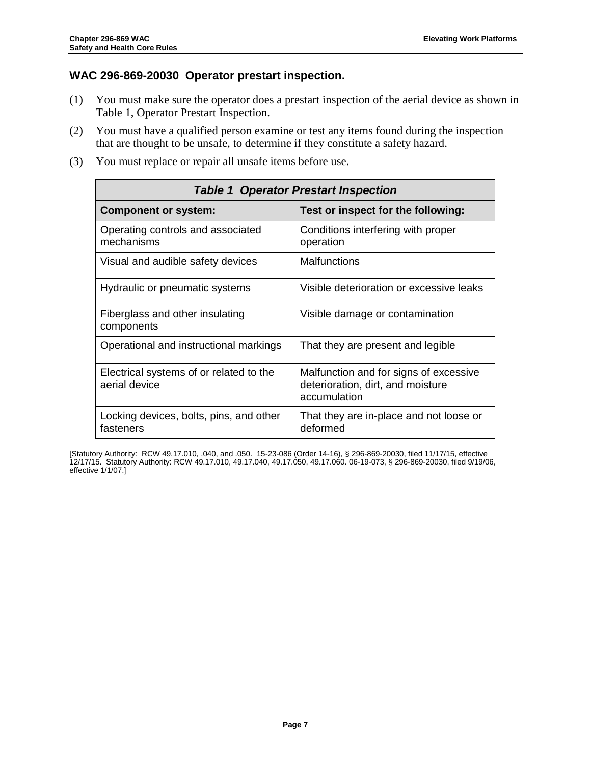## <span id="page-9-0"></span>**WAC 296-869-20030 Operator prestart inspection.**

- (1) You must make sure the operator does a prestart inspection of the aerial device as shown in Table 1, Operator Prestart Inspection.
- (2) You must have a qualified person examine or test any items found during the inspection that are thought to be unsafe, to determine if they constitute a safety hazard.
- (3) You must replace or repair all unsafe items before use.

| <b>Table 1 Operator Prestart Inspection</b>              |                                                                                             |  |
|----------------------------------------------------------|---------------------------------------------------------------------------------------------|--|
| <b>Component or system:</b>                              | Test or inspect for the following:                                                          |  |
| Operating controls and associated<br>mechanisms          | Conditions interfering with proper<br>operation                                             |  |
| Visual and audible safety devices                        | <b>Malfunctions</b>                                                                         |  |
| Hydraulic or pneumatic systems                           | Visible deterioration or excessive leaks                                                    |  |
| Fiberglass and other insulating<br>components            | Visible damage or contamination                                                             |  |
| Operational and instructional markings                   | That they are present and legible                                                           |  |
| Electrical systems of or related to the<br>aerial device | Malfunction and for signs of excessive<br>deterioration, dirt, and moisture<br>accumulation |  |
| Locking devices, bolts, pins, and other<br>fasteners     | That they are in-place and not loose or<br>deformed                                         |  |

[Statutory Authority: RCW 49.17.010, .040, and .050. 15-23-086 (Order 14-16), § 296-869-20030, filed 11/17/15, effective 12/17/15. Statutory Authority: RC[W 49.17.010,](http://apps.leg.wa.gov/RCW/default.aspx?cite=49.17.010) [49.17.040,](http://apps.leg.wa.gov/RCW/default.aspx?cite=49.17.040) [49.17.050,](http://apps.leg.wa.gov/RCW/default.aspx?cite=49.17.050) [49.17.060.](http://apps.leg.wa.gov/RCW/default.aspx?cite=49.17.060) 06-19-073, § 296-869-20030, filed 9/19/06, effective 1/1/07.]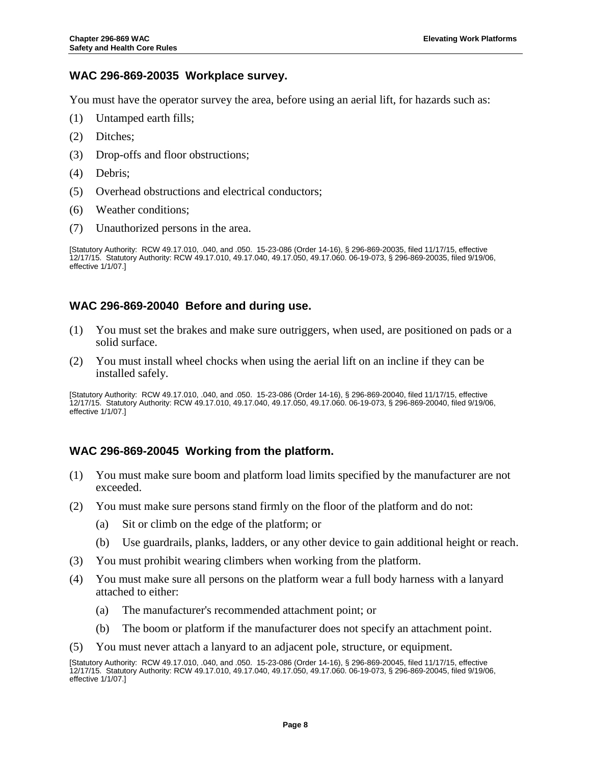## <span id="page-10-0"></span>**WAC 296-869-20035 Workplace survey.**

You must have the operator survey the area, before using an aerial lift, for hazards such as:

- (1) Untamped earth fills;
- (2) Ditches;
- (3) Drop-offs and floor obstructions;
- (4) Debris;
- (5) Overhead obstructions and electrical conductors;
- (6) Weather conditions;
- (7) Unauthorized persons in the area.

[Statutory Authority: RCW 49.17.010, .040, and .050. 15-23-086 (Order 14-16), § 296-869-20035, filed 11/17/15, effective 12/17/15. Statutory Authority: RC[W 49.17.010,](http://apps.leg.wa.gov/RCW/default.aspx?cite=49.17.010) [49.17.040,](http://apps.leg.wa.gov/RCW/default.aspx?cite=49.17.040) [49.17.050,](http://apps.leg.wa.gov/RCW/default.aspx?cite=49.17.050) [49.17.060.](http://apps.leg.wa.gov/RCW/default.aspx?cite=49.17.060) 06-19-073, § 296-869-20035, filed 9/19/06, effective 1/1/07.]

## <span id="page-10-1"></span>**WAC 296-869-20040 Before and during use.**

- (1) You must set the brakes and make sure outriggers, when used, are positioned on pads or a solid surface.
- (2) You must install wheel chocks when using the aerial lift on an incline if they can be installed safely.

[Statutory Authority: RCW 49.17.010, .040, and .050. 15-23-086 (Order 14-16), § 296-869-20040, filed 11/17/15, effective 12/17/15. Statutory Authority: RC[W 49.17.010,](http://apps.leg.wa.gov/RCW/default.aspx?cite=49.17.010) [49.17.040,](http://apps.leg.wa.gov/RCW/default.aspx?cite=49.17.040) [49.17.050,](http://apps.leg.wa.gov/RCW/default.aspx?cite=49.17.050) [49.17.060.](http://apps.leg.wa.gov/RCW/default.aspx?cite=49.17.060) 06-19-073, § 296-869-20040, filed 9/19/06, effective 1/1/07.]

## <span id="page-10-2"></span>**WAC 296-869-20045 Working from the platform.**

- (1) You must make sure boom and platform load limits specified by the manufacturer are not exceeded.
- (2) You must make sure persons stand firmly on the floor of the platform and do not:
	- (a) Sit or climb on the edge of the platform; or
	- (b) Use guardrails, planks, ladders, or any other device to gain additional height or reach.
- (3) You must prohibit wearing climbers when working from the platform.
- (4) You must make sure all persons on the platform wear a full body harness with a lanyard attached to either:
	- (a) The manufacturer's recommended attachment point; or
	- (b) The boom or platform if the manufacturer does not specify an attachment point.
- (5) You must never attach a lanyard to an adjacent pole, structure, or equipment.

<sup>[</sup>Statutory Authority: RCW 49.17.010, .040, and .050. 15-23-086 (Order 14-16), § 296-869-20045, filed 11/17/15, effective 12/17/15. Statutory Authority: RC[W 49.17.010,](http://apps.leg.wa.gov/RCW/default.aspx?cite=49.17.010) [49.17.040,](http://apps.leg.wa.gov/RCW/default.aspx?cite=49.17.040) [49.17.050,](http://apps.leg.wa.gov/RCW/default.aspx?cite=49.17.050) [49.17.060.](http://apps.leg.wa.gov/RCW/default.aspx?cite=49.17.060) 06-19-073, § 296-869-20045, filed 9/19/06, effective 1/1/07.]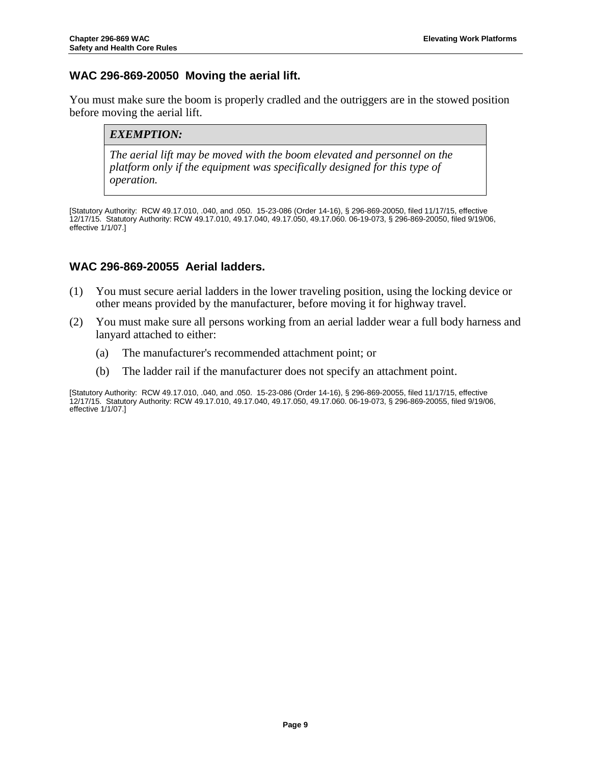## <span id="page-11-0"></span>**WAC 296-869-20050 Moving the aerial lift.**

You must make sure the boom is properly cradled and the outriggers are in the stowed position before moving the aerial lift.

#### *EXEMPTION:*

*The aerial lift may be moved with the boom elevated and personnel on the platform only if the equipment was specifically designed for this type of operation.*

[Statutory Authority: RCW 49.17.010, .040, and .050. 15-23-086 (Order 14-16), § 296-869-20050, filed 11/17/15, effective 12/17/15. Statutory Authority: RC[W 49.17.010,](http://apps.leg.wa.gov/RCW/default.aspx?cite=49.17.010) [49.17.040,](http://apps.leg.wa.gov/RCW/default.aspx?cite=49.17.040) [49.17.050,](http://apps.leg.wa.gov/RCW/default.aspx?cite=49.17.050) [49.17.060.](http://apps.leg.wa.gov/RCW/default.aspx?cite=49.17.060) 06-19-073, § 296-869-20050, filed 9/19/06, effective 1/1/07.]

## <span id="page-11-1"></span>**WAC 296-869-20055 Aerial ladders.**

- (1) You must secure aerial ladders in the lower traveling position, using the locking device or other means provided by the manufacturer, before moving it for highway travel.
- (2) You must make sure all persons working from an aerial ladder wear a full body harness and lanyard attached to either:
	- (a) The manufacturer's recommended attachment point; or
	- (b) The ladder rail if the manufacturer does not specify an attachment point.

[Statutory Authority: RCW 49.17.010, .040, and .050. 15-23-086 (Order 14-16), § 296-869-20055, filed 11/17/15, effective 12/17/15. Statutory Authority: RC[W 49.17.010,](http://apps.leg.wa.gov/RCW/default.aspx?cite=49.17.010) [49.17.040,](http://apps.leg.wa.gov/RCW/default.aspx?cite=49.17.040) [49.17.050,](http://apps.leg.wa.gov/RCW/default.aspx?cite=49.17.050) [49.17.060.](http://apps.leg.wa.gov/RCW/default.aspx?cite=49.17.060) 06-19-073, § 296-869-20055, filed 9/19/06, effective 1/1/07.]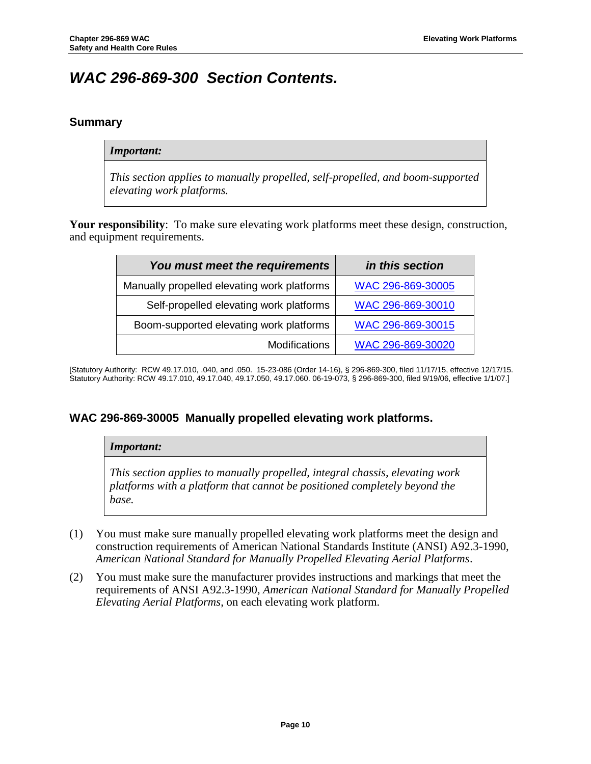## <span id="page-12-0"></span>*WAC 296-869-300 Section Contents.*

## <span id="page-12-1"></span>**Summary**

#### *Important:*

*This section applies to manually propelled, self-propelled, and boom-supported elevating work platforms.*

**Your responsibility**: To make sure elevating work platforms meet these design, construction, and equipment requirements.

| You must meet the requirements              | in this section   |
|---------------------------------------------|-------------------|
| Manually propelled elevating work platforms | WAC 296-869-30005 |
| Self-propelled elevating work platforms     | WAC 296-869-30010 |
| Boom-supported elevating work platforms     | WAC 296-869-30015 |
| <b>Modifications</b>                        | WAC 296-869-30020 |

[Statutory Authority: RCW 49.17.010, .040, and .050. 15-23-086 (Order 14-16), § 296-869-300, filed 11/17/15, effective 12/17/15. Statutory Authority: RC[W 49.17.010,](http://apps.leg.wa.gov/RCW/default.aspx?cite=49.17.010) [49.17.040,](http://apps.leg.wa.gov/RCW/default.aspx?cite=49.17.040) [49.17.050,](http://apps.leg.wa.gov/RCW/default.aspx?cite=49.17.050) [49.17.060.](http://apps.leg.wa.gov/RCW/default.aspx?cite=49.17.060) 06-19-073, § 296-869-300, filed 9/19/06, effective 1/1/07.]

## <span id="page-12-2"></span>**WAC 296-869-30005 Manually propelled elevating work platforms.**

## *Important: This section applies to manually propelled, integral chassis, elevating work platforms with a platform that cannot be positioned completely beyond the base.*

- (1) You must make sure manually propelled elevating work platforms meet the design and construction requirements of American National Standards Institute (ANSI) A92.3-1990, *American National Standard for Manually Propelled Elevating Aerial Platforms*.
- (2) You must make sure the manufacturer provides instructions and markings that meet the requirements of ANSI A92.3-1990, *American National Standard for Manually Propelled Elevating Aerial Platforms*, on each elevating work platform.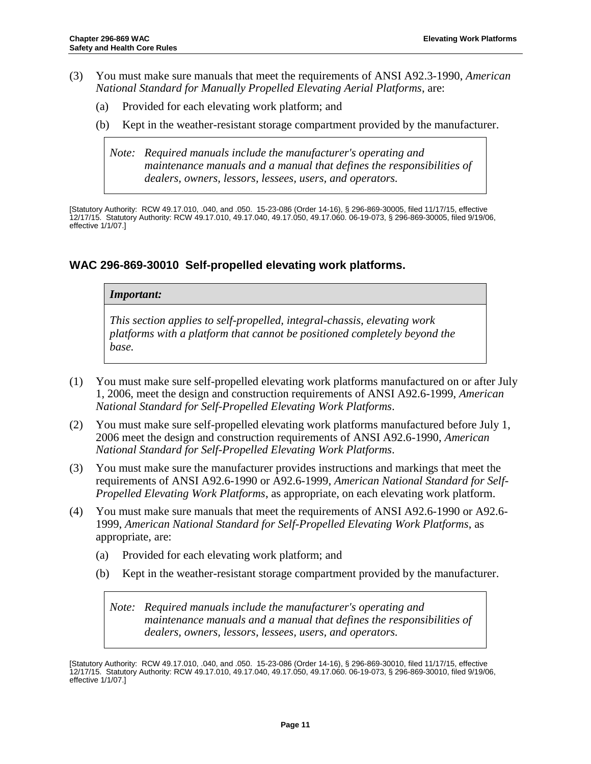- (3) You must make sure manuals that meet the requirements of ANSI A92.3-1990, *American National Standard for Manually Propelled Elevating Aerial Platforms*, are:
	- (a) Provided for each elevating work platform; and
	- (b) Kept in the weather-resistant storage compartment provided by the manufacturer.

*Note: Required manuals include the manufacturer's operating and maintenance manuals and a manual that defines the responsibilities of dealers, owners, lessors, lessees, users, and operators.*

[Statutory Authority: RCW 49.17.010, .040, and .050. 15-23-086 (Order 14-16), § 296-869-30005, filed 11/17/15, effective 12/17/15. Statutory Authority: RC[W 49.17.010,](http://apps.leg.wa.gov/RCW/default.aspx?cite=49.17.010) [49.17.040,](http://apps.leg.wa.gov/RCW/default.aspx?cite=49.17.040) [49.17.050,](http://apps.leg.wa.gov/RCW/default.aspx?cite=49.17.050) [49.17.060.](http://apps.leg.wa.gov/RCW/default.aspx?cite=49.17.060) 06-19-073, § 296-869-30005, filed 9/19/06, effective 1/1/07.]

## <span id="page-13-0"></span>**WAC 296-869-30010 Self-propelled elevating work platforms.**

#### *Important:*

*This section applies to self-propelled, integral-chassis, elevating work platforms with a platform that cannot be positioned completely beyond the base.*

- (1) You must make sure self-propelled elevating work platforms manufactured on or after July 1, 2006, meet the design and construction requirements of ANSI A92.6-1999, *American National Standard for Self-Propelled Elevating Work Platforms*.
- (2) You must make sure self-propelled elevating work platforms manufactured before July 1, 2006 meet the design and construction requirements of ANSI A92.6-1990, *American National Standard for Self-Propelled Elevating Work Platforms*.
- (3) You must make sure the manufacturer provides instructions and markings that meet the requirements of ANSI A92.6-1990 or A92.6-1999, *American National Standard for Self-Propelled Elevating Work Platforms*, as appropriate, on each elevating work platform.
- (4) You must make sure manuals that meet the requirements of ANSI A92.6-1990 or A92.6- 1999, *American National Standard for Self-Propelled Elevating Work Platforms*, as appropriate, are:
	- (a) Provided for each elevating work platform; and
	- (b) Kept in the weather-resistant storage compartment provided by the manufacturer.

*Note: Required manuals include the manufacturer's operating and maintenance manuals and a manual that defines the responsibilities of dealers, owners, lessors, lessees, users, and operators.*

[Statutory Authority: RCW 49.17.010, .040, and .050. 15-23-086 (Order 14-16), § 296-869-30010, filed 11/17/15, effective 12/17/15. Statutory Authority: RC[W 49.17.010,](http://apps.leg.wa.gov/RCW/default.aspx?cite=49.17.010) [49.17.040,](http://apps.leg.wa.gov/RCW/default.aspx?cite=49.17.040) [49.17.050,](http://apps.leg.wa.gov/RCW/default.aspx?cite=49.17.050) [49.17.060.](http://apps.leg.wa.gov/RCW/default.aspx?cite=49.17.060) 06-19-073, § 296-869-30010, filed 9/19/06, effective 1/1/07.]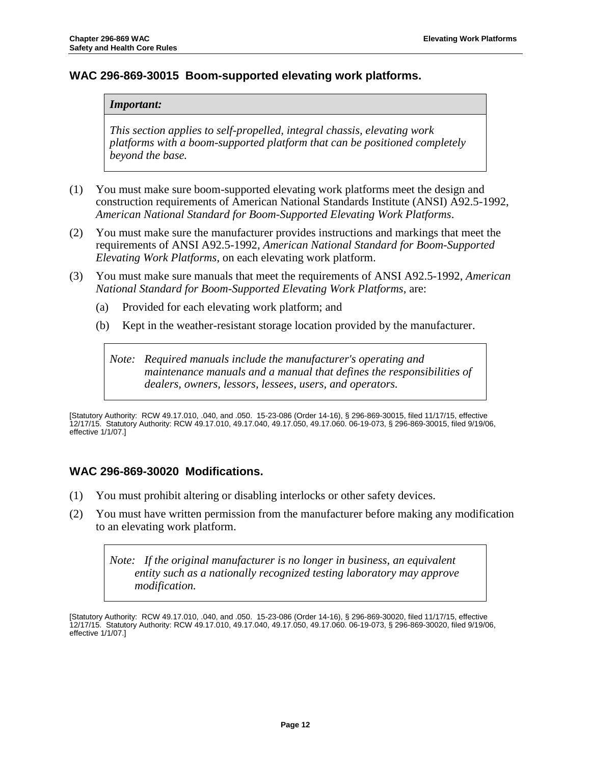## <span id="page-14-0"></span>**WAC 296-869-30015 Boom-supported elevating work platforms.**

#### *Important:*

*This section applies to self-propelled, integral chassis, elevating work platforms with a boom-supported platform that can be positioned completely beyond the base.*

- (1) You must make sure boom-supported elevating work platforms meet the design and construction requirements of American National Standards Institute (ANSI) A92.5-1992, *American National Standard for Boom-Supported Elevating Work Platforms*.
- (2) You must make sure the manufacturer provides instructions and markings that meet the requirements of ANSI A92.5-1992, *American National Standard for Boom-Supported Elevating Work Platforms*, on each elevating work platform.
- (3) You must make sure manuals that meet the requirements of ANSI A92.5-1992, *American National Standard for Boom-Supported Elevating Work Platforms*, are:
	- (a) Provided for each elevating work platform; and
	- (b) Kept in the weather-resistant storage location provided by the manufacturer.

*Note: Required manuals include the manufacturer's operating and maintenance manuals and a manual that defines the responsibilities of dealers, owners, lessors, lessees, users, and operators.*

[Statutory Authority: RCW 49.17.010, .040, and .050. 15-23-086 (Order 14-16), § 296-869-30015, filed 11/17/15, effective 12/17/15. Statutory Authority: RC[W 49.17.010,](http://apps.leg.wa.gov/RCW/default.aspx?cite=49.17.010) [49.17.040,](http://apps.leg.wa.gov/RCW/default.aspx?cite=49.17.040) [49.17.050,](http://apps.leg.wa.gov/RCW/default.aspx?cite=49.17.050) [49.17.060.](http://apps.leg.wa.gov/RCW/default.aspx?cite=49.17.060) 06-19-073, § 296-869-30015, filed 9/19/06, effective 1/1/07.]

## <span id="page-14-1"></span>**WAC 296-869-30020 Modifications.**

- (1) You must prohibit altering or disabling interlocks or other safety devices.
- (2) You must have written permission from the manufacturer before making any modification to an elevating work platform.

*Note: If the original manufacturer is no longer in business, an equivalent entity such as a nationally recognized testing laboratory may approve modification.*

<sup>[</sup>Statutory Authority: RCW 49.17.010, .040, and .050. 15-23-086 (Order 14-16), § 296-869-30020, filed 11/17/15, effective 12/17/15. Statutory Authority: RC[W 49.17.010,](http://apps.leg.wa.gov/RCW/default.aspx?cite=49.17.010) [49.17.040,](http://apps.leg.wa.gov/RCW/default.aspx?cite=49.17.040) [49.17.050,](http://apps.leg.wa.gov/RCW/default.aspx?cite=49.17.050) [49.17.060.](http://apps.leg.wa.gov/RCW/default.aspx?cite=49.17.060) 06-19-073, § 296-869-30020, filed 9/19/06, effective 1/1/07.]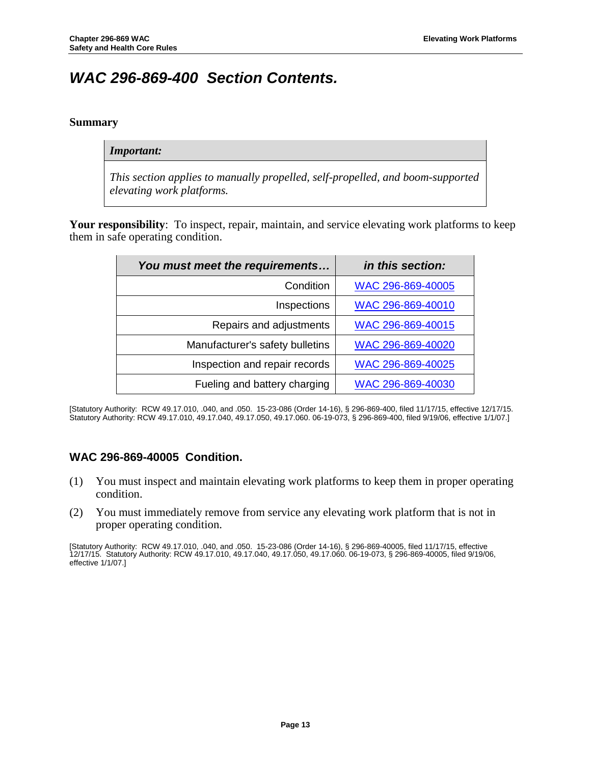## <span id="page-15-0"></span>*WAC 296-869-400 Section Contents.*

#### <span id="page-15-1"></span>**Summary**

#### *Important:*

*This section applies to manually propelled, self-propelled, and boom-supported elevating work platforms.*

**Your responsibility**: To inspect, repair, maintain, and service elevating work platforms to keep them in safe operating condition.

| You must meet the requirements  | in this section:  |
|---------------------------------|-------------------|
| Condition                       | WAC 296-869-40005 |
| Inspections                     | WAC 296-869-40010 |
| Repairs and adjustments         | WAC 296-869-40015 |
| Manufacturer's safety bulletins | WAC 296-869-40020 |
| Inspection and repair records   | WAC 296-869-40025 |
| Fueling and battery charging    | WAC 296-869-40030 |

[Statutory Authority: RCW 49.17.010, .040, and .050. 15-23-086 (Order 14-16), § 296-869-400, filed 11/17/15, effective 12/17/15. Statutory Authority: RC[W 49.17.010,](http://apps.leg.wa.gov/RCW/default.aspx?cite=49.17.010) [49.17.040,](http://apps.leg.wa.gov/RCW/default.aspx?cite=49.17.040) [49.17.050,](http://apps.leg.wa.gov/RCW/default.aspx?cite=49.17.050) [49.17.060.](http://apps.leg.wa.gov/RCW/default.aspx?cite=49.17.060) 06-19-073, § 296-869-400, filed 9/19/06, effective 1/1/07.]

## <span id="page-15-2"></span>**WAC 296-869-40005 Condition.**

- (1) You must inspect and maintain elevating work platforms to keep them in proper operating condition.
- (2) You must immediately remove from service any elevating work platform that is not in proper operating condition.

[Statutory Authority: RCW 49.17.010, .040, and .050. 15-23-086 (Order 14-16), § 296-869-40005, filed 11/17/15, effective 12/17/15. Statutory Authority: RC[W 49.17.010,](http://apps.leg.wa.gov/RCW/default.aspx?cite=49.17.010) [49.17.040,](http://apps.leg.wa.gov/RCW/default.aspx?cite=49.17.040) [49.17.050,](http://apps.leg.wa.gov/RCW/default.aspx?cite=49.17.050) [49.17.060.](http://apps.leg.wa.gov/RCW/default.aspx?cite=49.17.060) 06-19-073, § 296-869-40005, filed 9/19/06, effective 1/1/07.]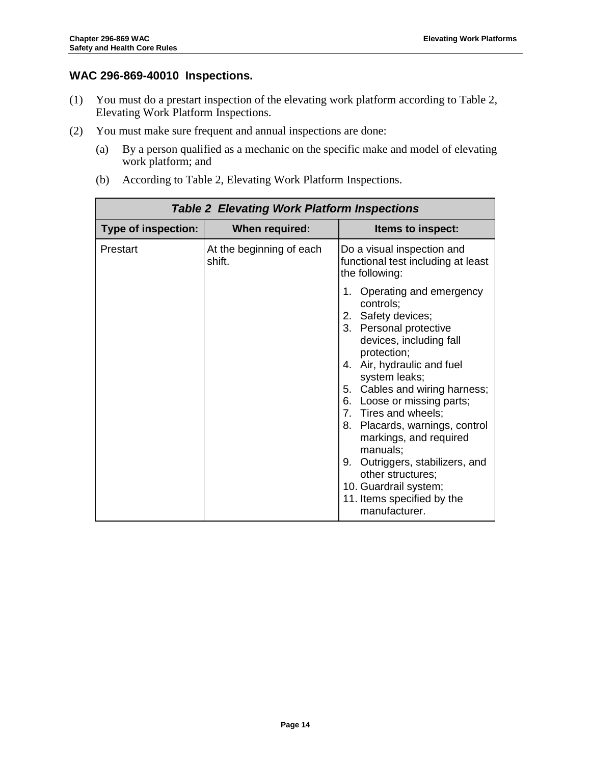## <span id="page-16-0"></span>**WAC 296-869-40010 Inspections.**

- (1) You must do a prestart inspection of the elevating work platform according to Table 2, Elevating Work Platform Inspections.
- (2) You must make sure frequent and annual inspections are done:
	- (a) By a person qualified as a mechanic on the specific make and model of elevating work platform; and
	- (b) According to Table 2, Elevating Work Platform Inspections.

| <b>Table 2 Elevating Work Platform Inspections</b> |                                    |                                                                                                                                                                                                                                                                                                                                                                                                                           |
|----------------------------------------------------|------------------------------------|---------------------------------------------------------------------------------------------------------------------------------------------------------------------------------------------------------------------------------------------------------------------------------------------------------------------------------------------------------------------------------------------------------------------------|
| <b>Type of inspection:</b>                         | When required:                     | Items to inspect:                                                                                                                                                                                                                                                                                                                                                                                                         |
| Prestart                                           | At the beginning of each<br>shift. | Do a visual inspection and<br>functional test including at least<br>the following:<br>1. Operating and emergency<br>controls;<br>2. Safety devices;<br>3. Personal protective<br>devices, including fall<br>protection;<br>4. Air, hydraulic and fuel<br>system leaks;<br>5. Cables and wiring harness;<br>6. Loose or missing parts;<br>7. Tires and wheels;<br>8. Placards, warnings, control<br>markings, and required |
|                                                    |                                    | manuals;                                                                                                                                                                                                                                                                                                                                                                                                                  |
|                                                    |                                    | 9. Outriggers, stabilizers, and<br>other structures;<br>10. Guardrail system;<br>11. Items specified by the<br>manufacturer.                                                                                                                                                                                                                                                                                              |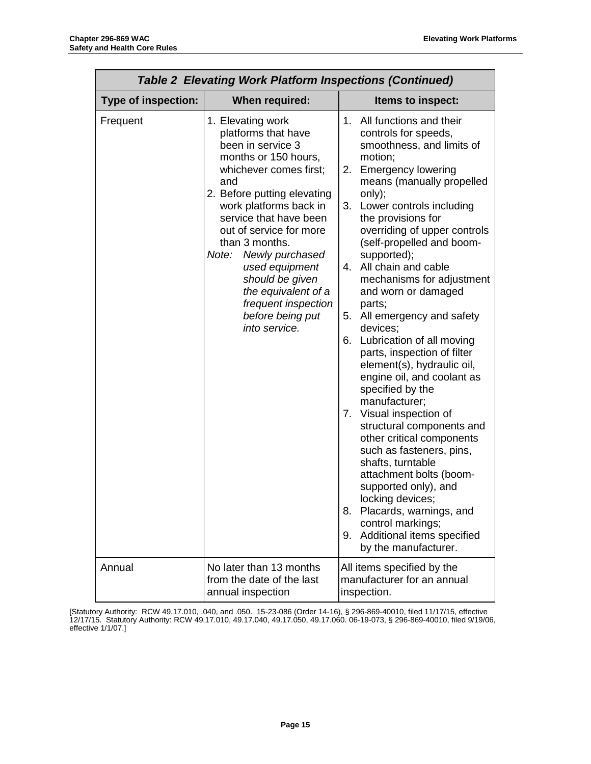| <b>Table 2 Elevating Work Platform Inspections (Continued)</b> |                                                                                                                                                                                                                                                                                                                                                                                                            |                                                                                                                                                                                                                                                                                                                                                                                                                                                                                                                                                                                                                                                                                                                                                                                                                                                                                                                            |  |
|----------------------------------------------------------------|------------------------------------------------------------------------------------------------------------------------------------------------------------------------------------------------------------------------------------------------------------------------------------------------------------------------------------------------------------------------------------------------------------|----------------------------------------------------------------------------------------------------------------------------------------------------------------------------------------------------------------------------------------------------------------------------------------------------------------------------------------------------------------------------------------------------------------------------------------------------------------------------------------------------------------------------------------------------------------------------------------------------------------------------------------------------------------------------------------------------------------------------------------------------------------------------------------------------------------------------------------------------------------------------------------------------------------------------|--|
| <b>Type of inspection:</b>                                     | When required:                                                                                                                                                                                                                                                                                                                                                                                             | Items to inspect:                                                                                                                                                                                                                                                                                                                                                                                                                                                                                                                                                                                                                                                                                                                                                                                                                                                                                                          |  |
| Frequent                                                       | 1. Elevating work<br>platforms that have<br>been in service 3<br>months or 150 hours,<br>whichever comes first;<br>and<br>2. Before putting elevating<br>work platforms back in<br>service that have been<br>out of service for more<br>than 3 months.<br>Note:<br>Newly purchased<br>used equipment<br>should be given<br>the equivalent of a<br>frequent inspection<br>before being put<br>into service. | 1. All functions and their<br>controls for speeds,<br>smoothness, and limits of<br>motion;<br>2. Emergency lowering<br>means (manually propelled<br>only);<br>3. Lower controls including<br>the provisions for<br>overriding of upper controls<br>(self-propelled and boom-<br>supported);<br>4. All chain and cable<br>mechanisms for adjustment<br>and worn or damaged<br>parts;<br>5. All emergency and safety<br>devices:<br>6. Lubrication of all moving<br>parts, inspection of filter<br>element(s), hydraulic oil,<br>engine oil, and coolant as<br>specified by the<br>manufacturer;<br>7. Visual inspection of<br>structural components and<br>other critical components<br>such as fasteners, pins,<br>shafts, turntable<br>attachment bolts (boom-<br>supported only), and<br>locking devices;<br>8. Placards, warnings, and<br>control markings;<br>Additional items specified<br>9.<br>by the manufacturer. |  |
| Annual                                                         | No later than 13 months<br>from the date of the last<br>annual inspection                                                                                                                                                                                                                                                                                                                                  | All items specified by the<br>manufacturer for an annual<br>inspection.                                                                                                                                                                                                                                                                                                                                                                                                                                                                                                                                                                                                                                                                                                                                                                                                                                                    |  |

[Statutory Authority: RCW 49.17.010, .040, and .050. 15-23-086 (Order 14-16), § 296-869-40010, filed 11/17/15, effective 12/17/15. Statutory Authority: RC[W 49.17.010,](http://apps.leg.wa.gov/RCW/default.aspx?cite=49.17.010) [49.17.040,](http://apps.leg.wa.gov/RCW/default.aspx?cite=49.17.040) [49.17.050,](http://apps.leg.wa.gov/RCW/default.aspx?cite=49.17.050) [49.17.060.](http://apps.leg.wa.gov/RCW/default.aspx?cite=49.17.060) 06-19-073, § 296-869-40010, filed 9/19/06, effective 1/1/07.]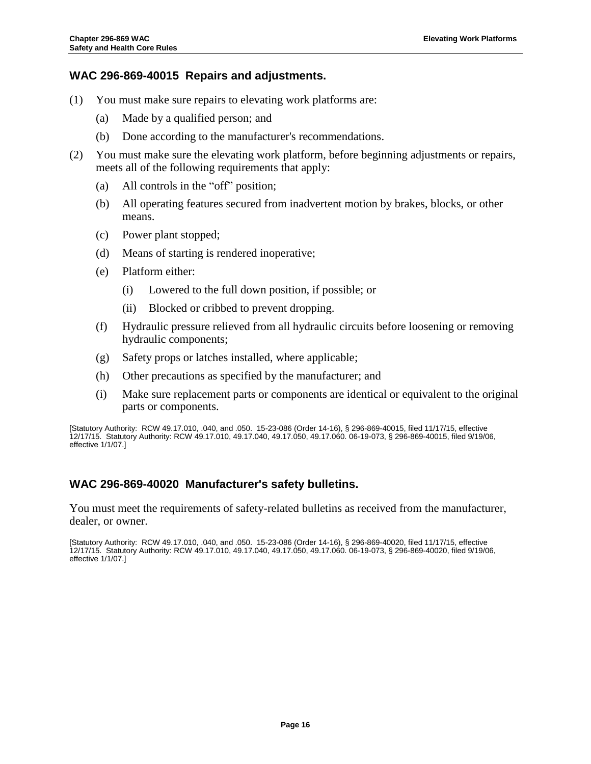## <span id="page-18-0"></span>**WAC 296-869-40015 Repairs and adjustments.**

- (1) You must make sure repairs to elevating work platforms are:
	- (a) Made by a qualified person; and
	- (b) Done according to the manufacturer's recommendations.
- (2) You must make sure the elevating work platform, before beginning adjustments or repairs, meets all of the following requirements that apply:
	- (a) All controls in the "off" position;
	- (b) All operating features secured from inadvertent motion by brakes, blocks, or other means.
	- (c) Power plant stopped;
	- (d) Means of starting is rendered inoperative;
	- (e) Platform either:
		- (i) Lowered to the full down position, if possible; or
		- (ii) Blocked or cribbed to prevent dropping.
	- (f) Hydraulic pressure relieved from all hydraulic circuits before loosening or removing hydraulic components;
	- (g) Safety props or latches installed, where applicable;
	- (h) Other precautions as specified by the manufacturer; and
	- (i) Make sure replacement parts or components are identical or equivalent to the original parts or components.

[Statutory Authority: RCW 49.17.010, .040, and .050. 15-23-086 (Order 14-16), § 296-869-40015, filed 11/17/15, effective 12/17/15. Statutory Authority: RC[W 49.17.010,](http://apps.leg.wa.gov/RCW/default.aspx?cite=49.17.010) [49.17.040,](http://apps.leg.wa.gov/RCW/default.aspx?cite=49.17.040) [49.17.050,](http://apps.leg.wa.gov/RCW/default.aspx?cite=49.17.050) [49.17.060.](http://apps.leg.wa.gov/RCW/default.aspx?cite=49.17.060) 06-19-073, § 296-869-40015, filed 9/19/06, effective 1/1/07.]

## <span id="page-18-1"></span>**WAC 296-869-40020 Manufacturer's safety bulletins.**

You must meet the requirements of safety-related bulletins as received from the manufacturer, dealer, or owner.

[Statutory Authority: RCW 49.17.010, .040, and .050. 15-23-086 (Order 14-16), § 296-869-40020, filed 11/17/15, effective 12/17/15. Statutory Authority: RC[W 49.17.010,](http://apps.leg.wa.gov/RCW/default.aspx?cite=49.17.010) [49.17.040,](http://apps.leg.wa.gov/RCW/default.aspx?cite=49.17.040) [49.17.050,](http://apps.leg.wa.gov/RCW/default.aspx?cite=49.17.050) [49.17.060.](http://apps.leg.wa.gov/RCW/default.aspx?cite=49.17.060) 06-19-073, § 296-869-40020, filed 9/19/06, effective 1/1/07.]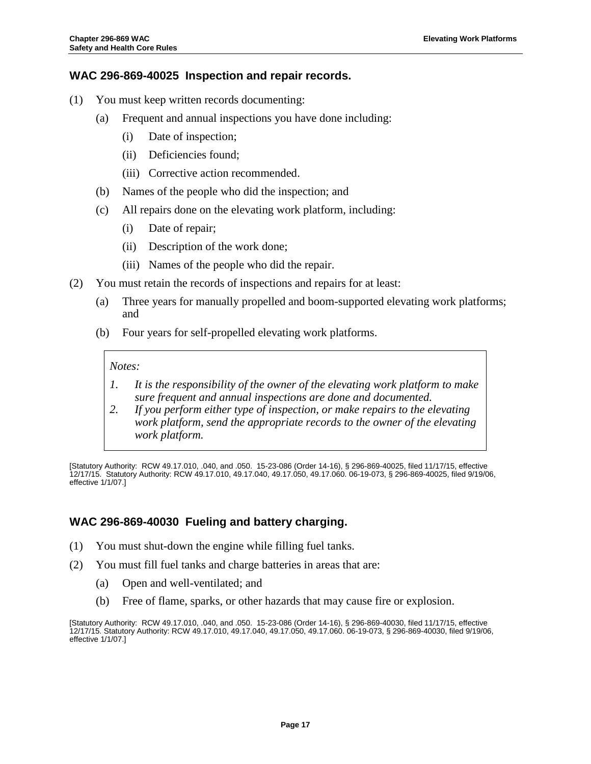## <span id="page-19-0"></span>**WAC 296-869-40025 Inspection and repair records.**

- (1) You must keep written records documenting:
	- (a) Frequent and annual inspections you have done including:
		- (i) Date of inspection;
		- (ii) Deficiencies found;
		- (iii) Corrective action recommended.
	- (b) Names of the people who did the inspection; and
	- (c) All repairs done on the elevating work platform, including:
		- (i) Date of repair;
		- (ii) Description of the work done;
		- (iii) Names of the people who did the repair.
- (2) You must retain the records of inspections and repairs for at least:
	- (a) Three years for manually propelled and boom-supported elevating work platforms; and
	- (b) Four years for self-propelled elevating work platforms.

#### *Notes:*

- *1. It is the responsibility of the owner of the elevating work platform to make sure frequent and annual inspections are done and documented.*
- *2. If you perform either type of inspection, or make repairs to the elevating work platform, send the appropriate records to the owner of the elevating work platform.*

[Statutory Authority: RCW 49.17.010, .040, and .050. 15-23-086 (Order 14-16), § 296-869-40025, filed 11/17/15, effective 12/17/15. Statutory Authority: RC[W 49.17.010,](http://apps.leg.wa.gov/RCW/default.aspx?cite=49.17.010) [49.17.040,](http://apps.leg.wa.gov/RCW/default.aspx?cite=49.17.040) [49.17.050,](http://apps.leg.wa.gov/RCW/default.aspx?cite=49.17.050) [49.17.060.](http://apps.leg.wa.gov/RCW/default.aspx?cite=49.17.060) 06-19-073, § 296-869-40025, filed 9/19/06, effective 1/1/07.]

## <span id="page-19-1"></span>**WAC 296-869-40030 Fueling and battery charging.**

- (1) You must shut-down the engine while filling fuel tanks.
- (2) You must fill fuel tanks and charge batteries in areas that are:
	- (a) Open and well-ventilated; and
	- (b) Free of flame, sparks, or other hazards that may cause fire or explosion.

[Statutory Authority: RCW 49.17.010, .040, and .050. 15-23-086 (Order 14-16), § 296-869-40030, filed 11/17/15, effective 12/17/15. Statutory Authority: RCW [49.17.010,](http://apps.leg.wa.gov/RCW/default.aspx?cite=49.17.010) [49.17.040,](http://apps.leg.wa.gov/RCW/default.aspx?cite=49.17.040) [49.17.050,](http://apps.leg.wa.gov/RCW/default.aspx?cite=49.17.050) [49.17.060.](http://apps.leg.wa.gov/RCW/default.aspx?cite=49.17.060) 06-19-073, § 296-869-40030, filed 9/19/06, effective 1/1/07.]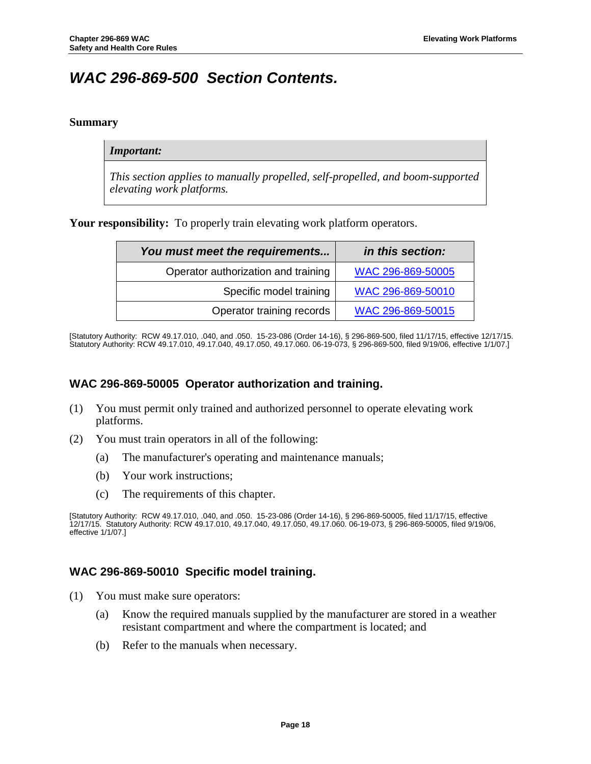## <span id="page-20-0"></span>*WAC 296-869-500 Section Contents.*

### <span id="page-20-1"></span>**Summary**

#### *Important:*

*This section applies to manually propelled, self-propelled, and boom-supported elevating work platforms.*

Your responsibility: To properly train elevating work platform operators.

| You must meet the requirements      | in this section:  |
|-------------------------------------|-------------------|
| Operator authorization and training | WAC 296-869-50005 |
| Specific model training             | WAC 296-869-50010 |
| Operator training records           | WAC 296-869-50015 |

[Statutory Authority: RCW 49.17.010, .040, and .050. 15-23-086 (Order 14-16), § 296-869-500, filed 11/17/15, effective 12/17/15. Statutory Authority: RC[W 49.17.010,](http://apps.leg.wa.gov/RCW/default.aspx?cite=49.17.010) [49.17.040,](http://apps.leg.wa.gov/RCW/default.aspx?cite=49.17.040) [49.17.050,](http://apps.leg.wa.gov/RCW/default.aspx?cite=49.17.050) [49.17.060.](http://apps.leg.wa.gov/RCW/default.aspx?cite=49.17.060) 06-19-073, § 296-869-500, filed 9/19/06, effective 1/1/07.]

## <span id="page-20-2"></span>**WAC 296-869-50005 Operator authorization and training.**

- (1) You must permit only trained and authorized personnel to operate elevating work platforms.
- (2) You must train operators in all of the following:
	- (a) The manufacturer's operating and maintenance manuals;
	- (b) Your work instructions;
	- (c) The requirements of this chapter.

## <span id="page-20-3"></span>**WAC 296-869-50010 Specific model training.**

- (1) You must make sure operators:
	- (a) Know the required manuals supplied by the manufacturer are stored in a weather resistant compartment and where the compartment is located; and
	- (b) Refer to the manuals when necessary.

<sup>[</sup>Statutory Authority: RCW 49.17.010, .040, and .050. 15-23-086 (Order 14-16), § 296-869-50005, filed 11/17/15, effective 12/17/15. Statutory Authority: RC[W 49.17.010,](http://apps.leg.wa.gov/RCW/default.aspx?cite=49.17.010) [49.17.040,](http://apps.leg.wa.gov/RCW/default.aspx?cite=49.17.040) [49.17.050,](http://apps.leg.wa.gov/RCW/default.aspx?cite=49.17.050) [49.17.060.](http://apps.leg.wa.gov/RCW/default.aspx?cite=49.17.060) 06-19-073, § 296-869-50005, filed 9/19/06, effective 1/1/07.]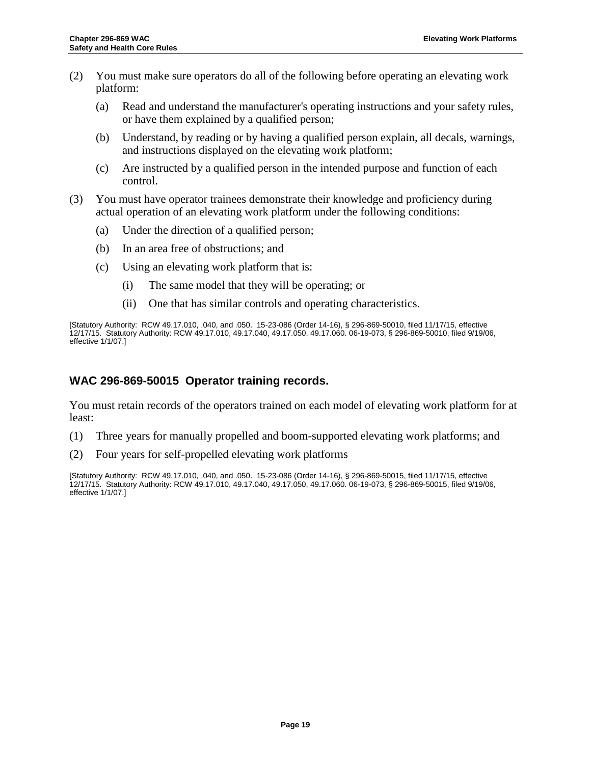- (2) You must make sure operators do all of the following before operating an elevating work platform:
	- (a) Read and understand the manufacturer's operating instructions and your safety rules, or have them explained by a qualified person;
	- (b) Understand, by reading or by having a qualified person explain, all decals, warnings, and instructions displayed on the elevating work platform;
	- (c) Are instructed by a qualified person in the intended purpose and function of each control.
- (3) You must have operator trainees demonstrate their knowledge and proficiency during actual operation of an elevating work platform under the following conditions:
	- (a) Under the direction of a qualified person;
	- (b) In an area free of obstructions; and
	- (c) Using an elevating work platform that is:
		- (i) The same model that they will be operating; or
		- (ii) One that has similar controls and operating characteristics.

[Statutory Authority: RCW 49.17.010, .040, and .050. 15-23-086 (Order 14-16), § 296-869-50010, filed 11/17/15, effective 12/17/15. Statutory Authority: RC[W 49.17.010,](http://apps.leg.wa.gov/RCW/default.aspx?cite=49.17.010) [49.17.040,](http://apps.leg.wa.gov/RCW/default.aspx?cite=49.17.040) [49.17.050,](http://apps.leg.wa.gov/RCW/default.aspx?cite=49.17.050) [49.17.060.](http://apps.leg.wa.gov/RCW/default.aspx?cite=49.17.060) 06-19-073, § 296-869-50010, filed 9/19/06, effective 1/1/07.]

## <span id="page-21-0"></span>**WAC 296-869-50015 Operator training records.**

You must retain records of the operators trained on each model of elevating work platform for at least:

- (1) Three years for manually propelled and boom-supported elevating work platforms; and
- (2) Four years for self-propelled elevating work platforms

[Statutory Authority: RCW 49.17.010, .040, and .050. 15-23-086 (Order 14-16), § 296-869-50015, filed 11/17/15, effective 12/17/15. Statutory Authority: RC[W 49.17.010,](http://apps.leg.wa.gov/RCW/default.aspx?cite=49.17.010) [49.17.040,](http://apps.leg.wa.gov/RCW/default.aspx?cite=49.17.040) [49.17.050,](http://apps.leg.wa.gov/RCW/default.aspx?cite=49.17.050) [49.17.060.](http://apps.leg.wa.gov/RCW/default.aspx?cite=49.17.060) 06-19-073, § 296-869-50015, filed 9/19/06, effective 1/1/07.]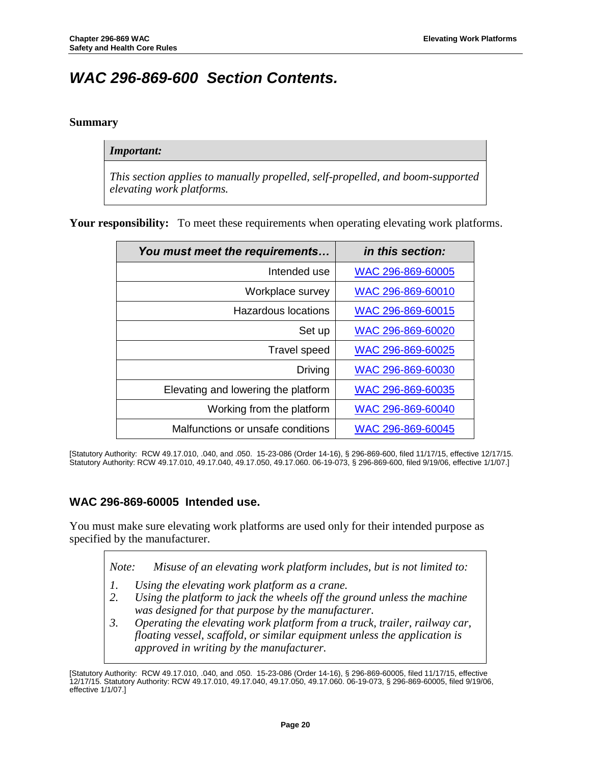## <span id="page-22-0"></span>*WAC 296-869-600 Section Contents.*

## <span id="page-22-1"></span>**Summary**

#### *Important:*

*This section applies to manually propelled, self-propelled, and boom-supported elevating work platforms.*

Your responsibility: To meet these requirements when operating elevating work platforms.

| You must meet the requirements      | in this section:  |
|-------------------------------------|-------------------|
| Intended use                        | WAC 296-869-60005 |
| Workplace survey                    | WAC 296-869-60010 |
| Hazardous locations                 | WAC 296-869-60015 |
| Set up                              | WAC 296-869-60020 |
| <b>Travel speed</b>                 | WAC 296-869-60025 |
| Driving                             | WAC 296-869-60030 |
| Elevating and lowering the platform | WAC 296-869-60035 |
| Working from the platform           | WAC 296-869-60040 |
| Malfunctions or unsafe conditions   | WAC 296-869-60045 |

[Statutory Authority: RCW 49.17.010, .040, and .050. 15-23-086 (Order 14-16), § 296-869-600, filed 11/17/15, effective 12/17/15. Statutory Authority: RC[W 49.17.010,](http://apps.leg.wa.gov/RCW/default.aspx?cite=49.17.010) [49.17.040,](http://apps.leg.wa.gov/RCW/default.aspx?cite=49.17.040) [49.17.050,](http://apps.leg.wa.gov/RCW/default.aspx?cite=49.17.050) [49.17.060.](http://apps.leg.wa.gov/RCW/default.aspx?cite=49.17.060) 06-19-073, § 296-869-600, filed 9/19/06, effective 1/1/07.]

## <span id="page-22-2"></span>**WAC 296-869-60005 Intended use.**

You must make sure elevating work platforms are used only for their intended purpose as specified by the manufacturer.

*Note: Misuse of an elevating work platform includes, but is not limited to:*

- *1. Using the elevating work platform as a crane.*
- *2. Using the platform to jack the wheels off the ground unless the machine was designed for that purpose by the manufacturer.*
- *3. Operating the elevating work platform from a truck, trailer, railway car, floating vessel, scaffold, or similar equipment unless the application is approved in writing by the manufacturer.*

<sup>[</sup>Statutory Authority: RCW 49.17.010, .040, and .050. 15-23-086 (Order 14-16), § 296-869-60005, filed 11/17/15, effective 12/17/15. Statutory Authority: RCW [49.17.010,](http://apps.leg.wa.gov/RCW/default.aspx?cite=49.17.010) [49.17.040,](http://apps.leg.wa.gov/RCW/default.aspx?cite=49.17.040) [49.17.050,](http://apps.leg.wa.gov/RCW/default.aspx?cite=49.17.050) [49.17.060.](http://apps.leg.wa.gov/RCW/default.aspx?cite=49.17.060) 06-19-073, § 296-869-60005, filed 9/19/06, effective 1/1/07.]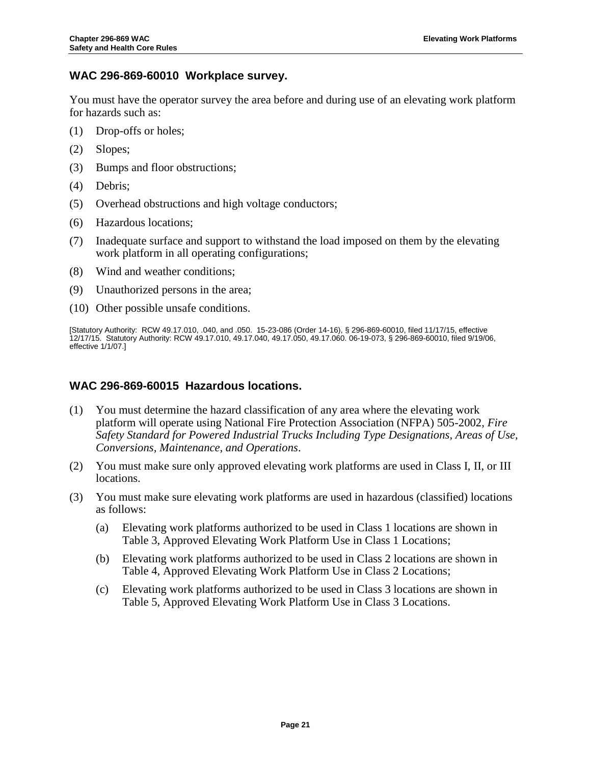## <span id="page-23-0"></span>**WAC 296-869-60010 Workplace survey.**

You must have the operator survey the area before and during use of an elevating work platform for hazards such as:

- (1) Drop-offs or holes;
- (2) Slopes;
- (3) Bumps and floor obstructions;
- (4) Debris;
- (5) Overhead obstructions and high voltage conductors;
- (6) Hazardous locations;
- (7) Inadequate surface and support to withstand the load imposed on them by the elevating work platform in all operating configurations;
- (8) Wind and weather conditions;
- (9) Unauthorized persons in the area;
- (10) Other possible unsafe conditions.

[Statutory Authority: RCW 49.17.010, .040, and .050. 15-23-086 (Order 14-16), § 296-869-60010, filed 11/17/15, effective 12/17/15. Statutory Authority: RC[W 49.17.010,](http://apps.leg.wa.gov/RCW/default.aspx?cite=49.17.010) [49.17.040,](http://apps.leg.wa.gov/RCW/default.aspx?cite=49.17.040) [49.17.050,](http://apps.leg.wa.gov/RCW/default.aspx?cite=49.17.050) [49.17.060.](http://apps.leg.wa.gov/RCW/default.aspx?cite=49.17.060) 06-19-073, § 296-869-60010, filed 9/19/06, effective 1/1/07.]

## <span id="page-23-1"></span>**WAC 296-869-60015 Hazardous locations.**

- (1) You must determine the hazard classification of any area where the elevating work platform will operate using National Fire Protection Association (NFPA) 505-2002, *Fire Safety Standard for Powered Industrial Trucks Including Type Designations, Areas of Use, Conversions, Maintenance, and Operations*.
- (2) You must make sure only approved elevating work platforms are used in Class I, II, or III locations.
- (3) You must make sure elevating work platforms are used in hazardous (classified) locations as follows:
	- (a) Elevating work platforms authorized to be used in Class 1 locations are shown in Table 3, Approved Elevating Work Platform Use in Class 1 Locations;
	- (b) Elevating work platforms authorized to be used in Class 2 locations are shown in Table 4, Approved Elevating Work Platform Use in Class 2 Locations;
	- (c) Elevating work platforms authorized to be used in Class 3 locations are shown in Table 5, Approved Elevating Work Platform Use in Class 3 Locations.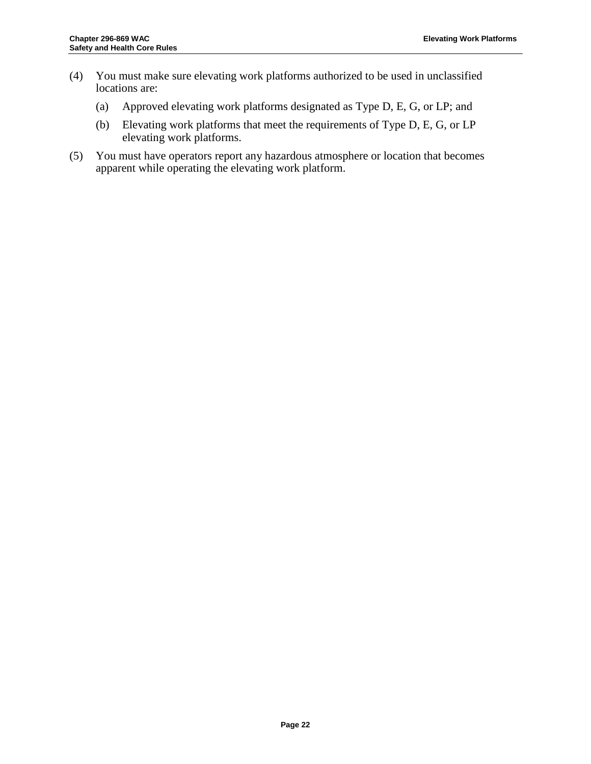- (4) You must make sure elevating work platforms authorized to be used in unclassified locations are:
	- (a) Approved elevating work platforms designated as Type D, E, G, or LP; and
	- (b) Elevating work platforms that meet the requirements of Type D, E, G, or LP elevating work platforms.
- (5) You must have operators report any hazardous atmosphere or location that becomes apparent while operating the elevating work platform.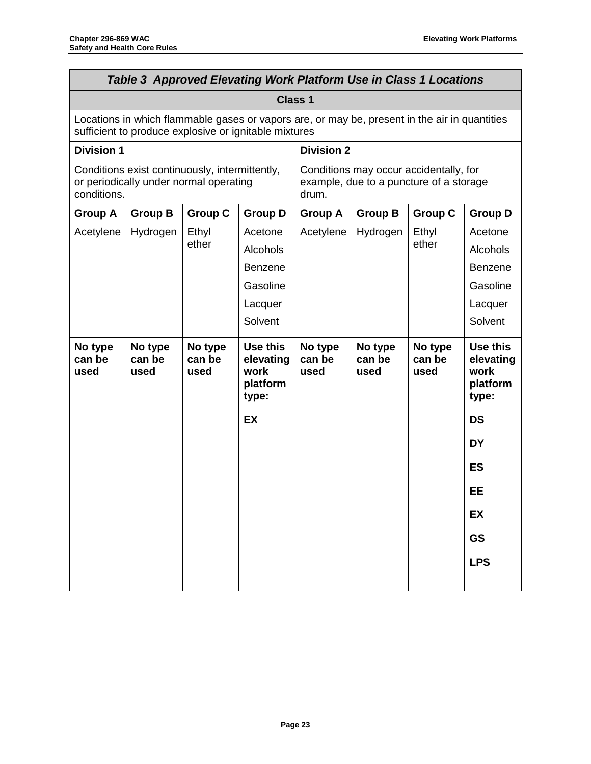|                                                                                                                                                        | <b>Table 3 Approved Elevating Work Platform Use in Class 1 Locations</b> |                                                                                            |                                                    |                           |                           |                           |                                                    |
|--------------------------------------------------------------------------------------------------------------------------------------------------------|--------------------------------------------------------------------------|--------------------------------------------------------------------------------------------|----------------------------------------------------|---------------------------|---------------------------|---------------------------|----------------------------------------------------|
|                                                                                                                                                        |                                                                          |                                                                                            |                                                    | <b>Class 1</b>            |                           |                           |                                                    |
| Locations in which flammable gases or vapors are, or may be, present in the air in quantities<br>sufficient to produce explosive or ignitable mixtures |                                                                          |                                                                                            |                                                    |                           |                           |                           |                                                    |
| <b>Division 2</b><br><b>Division 1</b>                                                                                                                 |                                                                          |                                                                                            |                                                    |                           |                           |                           |                                                    |
| Conditions exist continuously, intermittently,<br>or periodically under normal operating<br>conditions.                                                |                                                                          | Conditions may occur accidentally, for<br>example, due to a puncture of a storage<br>drum. |                                                    |                           |                           |                           |                                                    |
| <b>Group A</b>                                                                                                                                         | <b>Group B</b>                                                           | <b>Group C</b>                                                                             | <b>Group D</b>                                     | <b>Group A</b>            | <b>Group B</b>            | <b>Group C</b>            | <b>Group D</b>                                     |
| Acetylene                                                                                                                                              | Hydrogen                                                                 | Ethyl                                                                                      | Acetone                                            | Acetylene                 | Hydrogen                  | Ethyl                     | Acetone                                            |
|                                                                                                                                                        |                                                                          | ether                                                                                      | Alcohols                                           |                           |                           | ether                     | <b>Alcohols</b>                                    |
|                                                                                                                                                        |                                                                          |                                                                                            | <b>Benzene</b>                                     |                           |                           |                           | <b>Benzene</b>                                     |
|                                                                                                                                                        |                                                                          |                                                                                            | Gasoline                                           |                           |                           |                           | Gasoline                                           |
|                                                                                                                                                        |                                                                          |                                                                                            | Lacquer                                            |                           |                           |                           | Lacquer                                            |
|                                                                                                                                                        |                                                                          |                                                                                            | Solvent                                            |                           |                           |                           | Solvent                                            |
| No type<br>can be<br>used                                                                                                                              | No type<br>can be<br>used                                                | No type<br>can be<br>used                                                                  | Use this<br>elevating<br>work<br>platform<br>type: | No type<br>can be<br>used | No type<br>can be<br>used | No type<br>can be<br>used | Use this<br>elevating<br>work<br>platform<br>type: |
|                                                                                                                                                        |                                                                          |                                                                                            | <b>EX</b>                                          |                           |                           |                           | <b>DS</b>                                          |
|                                                                                                                                                        |                                                                          |                                                                                            |                                                    |                           |                           |                           | DY                                                 |
|                                                                                                                                                        |                                                                          |                                                                                            |                                                    |                           |                           |                           | <b>ES</b>                                          |
|                                                                                                                                                        |                                                                          |                                                                                            |                                                    |                           |                           |                           | <b>EE</b>                                          |
|                                                                                                                                                        |                                                                          |                                                                                            |                                                    |                           |                           |                           | EX                                                 |
|                                                                                                                                                        |                                                                          |                                                                                            |                                                    |                           |                           |                           | <b>GS</b>                                          |
|                                                                                                                                                        |                                                                          |                                                                                            |                                                    |                           |                           |                           | <b>LPS</b>                                         |
|                                                                                                                                                        |                                                                          |                                                                                            |                                                    |                           |                           |                           |                                                    |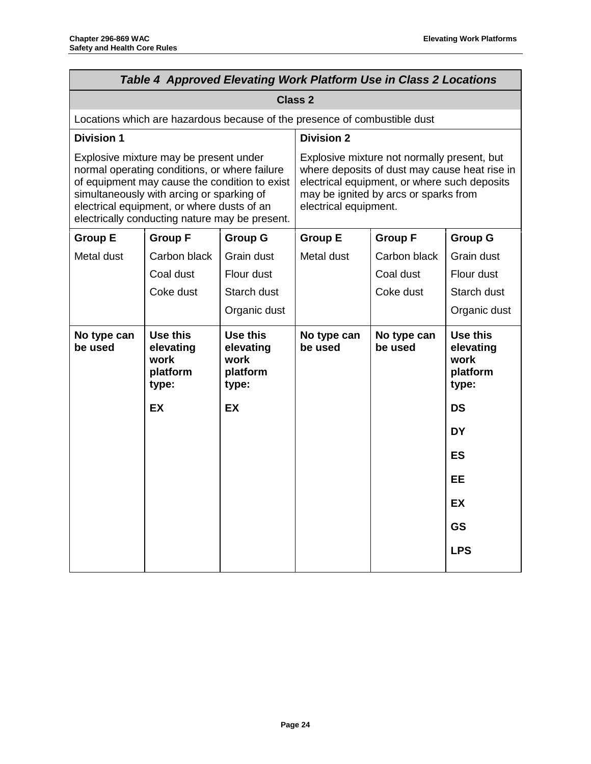|                                                                                                                                                                                                                                                                                       | Table 4 Approved Elevating Work Platform Use in Class 2 Locations         |                                                                                                                                                                                                                |                        |                        |                                                    |
|---------------------------------------------------------------------------------------------------------------------------------------------------------------------------------------------------------------------------------------------------------------------------------------|---------------------------------------------------------------------------|----------------------------------------------------------------------------------------------------------------------------------------------------------------------------------------------------------------|------------------------|------------------------|----------------------------------------------------|
|                                                                                                                                                                                                                                                                                       |                                                                           |                                                                                                                                                                                                                | <b>Class 2</b>         |                        |                                                    |
|                                                                                                                                                                                                                                                                                       | Locations which are hazardous because of the presence of combustible dust |                                                                                                                                                                                                                |                        |                        |                                                    |
| <b>Division 1</b>                                                                                                                                                                                                                                                                     |                                                                           |                                                                                                                                                                                                                | <b>Division 2</b>      |                        |                                                    |
| Explosive mixture may be present under<br>normal operating conditions, or where failure<br>of equipment may cause the condition to exist<br>simultaneously with arcing or sparking of<br>electrical equipment, or where dusts of an<br>electrically conducting nature may be present. |                                                                           | Explosive mixture not normally present, but<br>where deposits of dust may cause heat rise in<br>electrical equipment, or where such deposits<br>may be ignited by arcs or sparks from<br>electrical equipment. |                        |                        |                                                    |
| <b>Group E</b>                                                                                                                                                                                                                                                                        | <b>Group F</b>                                                            | <b>Group G</b>                                                                                                                                                                                                 | <b>Group E</b>         | <b>Group F</b>         | <b>Group G</b>                                     |
| Metal dust                                                                                                                                                                                                                                                                            | Carbon black                                                              | Grain dust                                                                                                                                                                                                     | Metal dust             | Carbon black           | Grain dust                                         |
|                                                                                                                                                                                                                                                                                       | Coal dust                                                                 | Flour dust                                                                                                                                                                                                     |                        | Coal dust              | Flour dust                                         |
|                                                                                                                                                                                                                                                                                       | Coke dust                                                                 | Starch dust                                                                                                                                                                                                    |                        | Coke dust              | Starch dust                                        |
|                                                                                                                                                                                                                                                                                       |                                                                           | Organic dust                                                                                                                                                                                                   |                        |                        | Organic dust                                       |
| No type can<br>be used                                                                                                                                                                                                                                                                | Use this<br>elevating<br>work<br>platform<br>type:                        | Use this<br>elevating<br>work<br>platform<br>type:                                                                                                                                                             | No type can<br>be used | No type can<br>be used | Use this<br>elevating<br>work<br>platform<br>type: |
|                                                                                                                                                                                                                                                                                       | EX                                                                        | EX                                                                                                                                                                                                             |                        |                        | DS                                                 |
|                                                                                                                                                                                                                                                                                       |                                                                           |                                                                                                                                                                                                                |                        |                        | <b>DY</b>                                          |
|                                                                                                                                                                                                                                                                                       |                                                                           |                                                                                                                                                                                                                |                        |                        | <b>ES</b>                                          |
|                                                                                                                                                                                                                                                                                       |                                                                           |                                                                                                                                                                                                                |                        |                        | EE                                                 |
|                                                                                                                                                                                                                                                                                       |                                                                           |                                                                                                                                                                                                                |                        |                        | <b>EX</b>                                          |
|                                                                                                                                                                                                                                                                                       |                                                                           |                                                                                                                                                                                                                |                        |                        | <b>GS</b>                                          |
|                                                                                                                                                                                                                                                                                       |                                                                           |                                                                                                                                                                                                                |                        |                        | <b>LPS</b>                                         |
|                                                                                                                                                                                                                                                                                       |                                                                           |                                                                                                                                                                                                                |                        |                        |                                                    |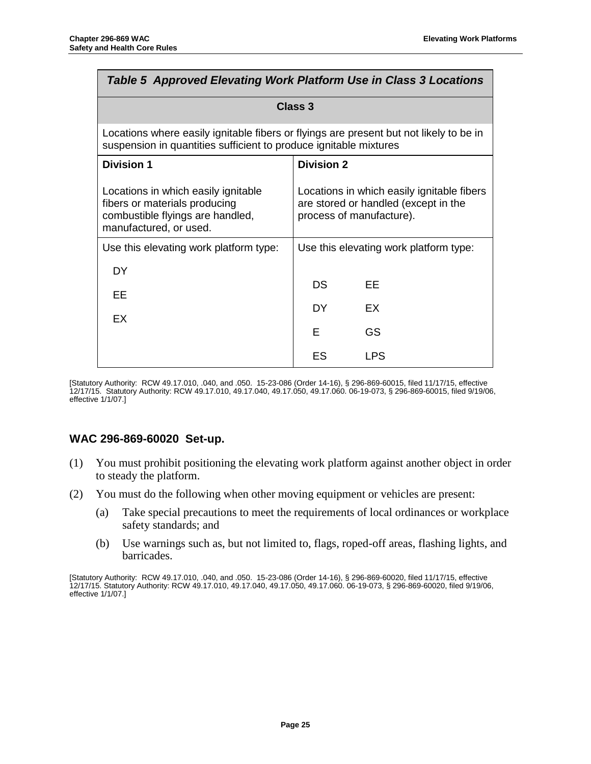| Table 5 Approved Elevating Work Platform Use in Class 3 Locations                                                                                           |                   |                                                                                                                |  |
|-------------------------------------------------------------------------------------------------------------------------------------------------------------|-------------------|----------------------------------------------------------------------------------------------------------------|--|
| Class 3                                                                                                                                                     |                   |                                                                                                                |  |
| Locations where easily ignitable fibers or flyings are present but not likely to be in<br>suspension in quantities sufficient to produce ignitable mixtures |                   |                                                                                                                |  |
| <b>Division 1</b>                                                                                                                                           | <b>Division 2</b> |                                                                                                                |  |
| Locations in which easily ignitable<br>fibers or materials producing<br>combustible flyings are handled,<br>manufactured, or used.                          |                   | Locations in which easily ignitable fibers<br>are stored or handled (except in the<br>process of manufacture). |  |
| Use this elevating work platform type:                                                                                                                      |                   | Use this elevating work platform type:                                                                         |  |
| DY.                                                                                                                                                         |                   |                                                                                                                |  |
| EE                                                                                                                                                          | DS                | FF                                                                                                             |  |
| EX                                                                                                                                                          | DY.               | EX                                                                                                             |  |
|                                                                                                                                                             | Е                 | GS                                                                                                             |  |
|                                                                                                                                                             | ES                | <b>LPS</b>                                                                                                     |  |

[Statutory Authority: RCW 49.17.010, .040, and .050. 15-23-086 (Order 14-16), § 296-869-60015, filed 11/17/15, effective 12/17/15. Statutory Authority: RC[W 49.17.010,](http://apps.leg.wa.gov/RCW/default.aspx?cite=49.17.010) [49.17.040,](http://apps.leg.wa.gov/RCW/default.aspx?cite=49.17.040) [49.17.050,](http://apps.leg.wa.gov/RCW/default.aspx?cite=49.17.050) [49.17.060.](http://apps.leg.wa.gov/RCW/default.aspx?cite=49.17.060) 06-19-073, § 296-869-60015, filed 9/19/06, effective 1/1/07.]

## <span id="page-27-0"></span>**WAC 296-869-60020 Set-up.**

- (1) You must prohibit positioning the elevating work platform against another object in order to steady the platform.
- (2) You must do the following when other moving equipment or vehicles are present:
	- (a) Take special precautions to meet the requirements of local ordinances or workplace safety standards; and
	- (b) Use warnings such as, but not limited to, flags, roped-off areas, flashing lights, and barricades.

[Statutory Authority: RCW 49.17.010, .040, and .050. 15-23-086 (Order 14-16), § 296-869-60020, filed 11/17/15, effective 12/17/15. Statutory Authority: RCW [49.17.010,](http://apps.leg.wa.gov/RCW/default.aspx?cite=49.17.010) [49.17.040,](http://apps.leg.wa.gov/RCW/default.aspx?cite=49.17.040) [49.17.050,](http://apps.leg.wa.gov/RCW/default.aspx?cite=49.17.050) [49.17.060.](http://apps.leg.wa.gov/RCW/default.aspx?cite=49.17.060) 06-19-073, § 296-869-60020, filed 9/19/06, effective 1/1/07.]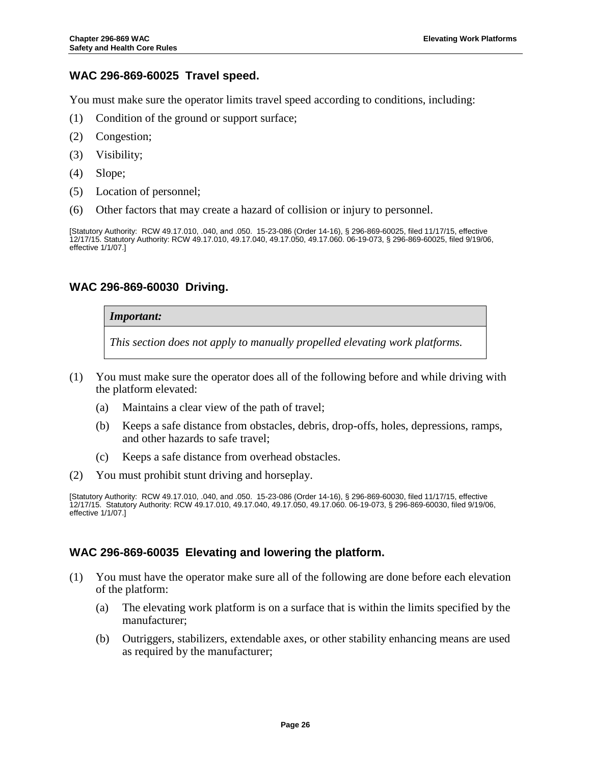## <span id="page-28-0"></span>**WAC 296-869-60025 Travel speed.**

You must make sure the operator limits travel speed according to conditions, including:

- (1) Condition of the ground or support surface;
- (2) Congestion;
- (3) Visibility;
- (4) Slope;
- (5) Location of personnel;
- (6) Other factors that may create a hazard of collision or injury to personnel.

[Statutory Authority: RCW 49.17.010, .040, and .050. 15-23-086 (Order 14-16), § 296-869-60025, filed 11/17/15, effective 12/17/15. Statutory Authority: RCW [49.17.010,](http://apps.leg.wa.gov/RCW/default.aspx?cite=49.17.010) [49.17.040,](http://apps.leg.wa.gov/RCW/default.aspx?cite=49.17.040) [49.17.050,](http://apps.leg.wa.gov/RCW/default.aspx?cite=49.17.050) [49.17.060.](http://apps.leg.wa.gov/RCW/default.aspx?cite=49.17.060) 06-19-073, § 296-869-60025, filed 9/19/06, effective 1/1/07.]

#### <span id="page-28-1"></span>**WAC 296-869-60030 Driving.**

#### *Important:*

*This section does not apply to manually propelled elevating work platforms.*

- (1) You must make sure the operator does all of the following before and while driving with the platform elevated:
	- (a) Maintains a clear view of the path of travel;
	- (b) Keeps a safe distance from obstacles, debris, drop-offs, holes, depressions, ramps, and other hazards to safe travel;
	- (c) Keeps a safe distance from overhead obstacles.
- (2) You must prohibit stunt driving and horseplay.

[Statutory Authority: RCW 49.17.010, .040, and .050. 15-23-086 (Order 14-16), § 296-869-60030, filed 11/17/15, effective 12/17/15. Statutory Authority: RC[W 49.17.010,](http://apps.leg.wa.gov/RCW/default.aspx?cite=49.17.010) [49.17.040,](http://apps.leg.wa.gov/RCW/default.aspx?cite=49.17.040) [49.17.050,](http://apps.leg.wa.gov/RCW/default.aspx?cite=49.17.050) [49.17.060.](http://apps.leg.wa.gov/RCW/default.aspx?cite=49.17.060) 06-19-073, § 296-869-60030, filed 9/19/06, effective 1/1/07.]

## <span id="page-28-2"></span>**WAC 296-869-60035 Elevating and lowering the platform.**

- (1) You must have the operator make sure all of the following are done before each elevation of the platform:
	- (a) The elevating work platform is on a surface that is within the limits specified by the manufacturer;
	- (b) Outriggers, stabilizers, extendable axes, or other stability enhancing means are used as required by the manufacturer;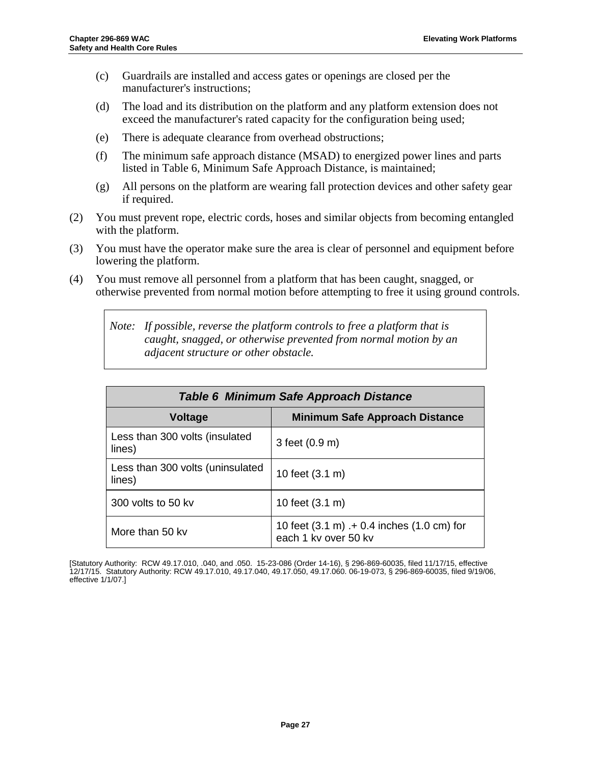- (c) Guardrails are installed and access gates or openings are closed per the manufacturer's instructions;
- (d) The load and its distribution on the platform and any platform extension does not exceed the manufacturer's rated capacity for the configuration being used;
- (e) There is adequate clearance from overhead obstructions;
- (f) The minimum safe approach distance (MSAD) to energized power lines and parts listed in Table 6, Minimum Safe Approach Distance, is maintained;
- (g) All persons on the platform are wearing fall protection devices and other safety gear if required.
- (2) You must prevent rope, electric cords, hoses and similar objects from becoming entangled with the platform.
- (3) You must have the operator make sure the area is clear of personnel and equipment before lowering the platform.
- (4) You must remove all personnel from a platform that has been caught, snagged, or otherwise prevented from normal motion before attempting to free it using ground controls.

*Note: If possible, reverse the platform controls to free a platform that is caught, snagged, or otherwise prevented from normal motion by an adjacent structure or other obstacle.*

| Table 6 Minimum Safe Approach Distance     |                                                                    |  |  |
|--------------------------------------------|--------------------------------------------------------------------|--|--|
| <b>Voltage</b>                             | <b>Minimum Safe Approach Distance</b>                              |  |  |
| Less than 300 volts (insulated<br>lines)   | 3 feet (0.9 m)                                                     |  |  |
| Less than 300 volts (uninsulated<br>lines) | 10 feet (3.1 m)                                                    |  |  |
| 300 volts to 50 kv                         | 10 feet (3.1 m)                                                    |  |  |
| More than 50 kv                            | 10 feet (3.1 m) .+ 0.4 inches (1.0 cm) for<br>each 1 kv over 50 kv |  |  |

[Statutory Authority: RCW 49.17.010, .040, and .050. 15-23-086 (Order 14-16), § 296-869-60035, filed 11/17/15, effective 12/17/15. Statutory Authority: RC[W 49.17.010,](http://apps.leg.wa.gov/RCW/default.aspx?cite=49.17.010) [49.17.040,](http://apps.leg.wa.gov/RCW/default.aspx?cite=49.17.040) [49.17.050,](http://apps.leg.wa.gov/RCW/default.aspx?cite=49.17.050) [49.17.060.](http://apps.leg.wa.gov/RCW/default.aspx?cite=49.17.060) 06-19-073, § 296-869-60035, filed 9/19/06, effective 1/1/07.]